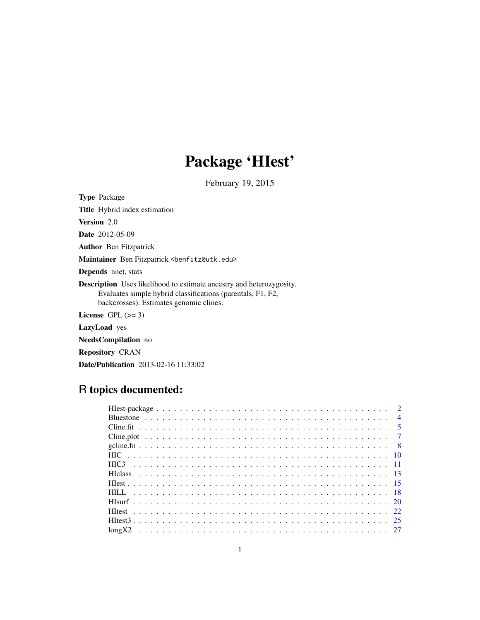# Package 'HIest'

February 19, 2015

<span id="page-0-0"></span>

| <b>Type Package</b>                                                                                                                                                                   |
|---------------------------------------------------------------------------------------------------------------------------------------------------------------------------------------|
| <b>Title</b> Hybrid index estimation                                                                                                                                                  |
| <b>Version</b> 2.0                                                                                                                                                                    |
| <b>Date</b> 2012-05-09                                                                                                                                                                |
| <b>Author</b> Ben Fitzpatrick                                                                                                                                                         |
| Maintainer Ben Fitzpatrick <benfitz@utk.edu></benfitz@utk.edu>                                                                                                                        |
| <b>Depends</b> nnet, stats                                                                                                                                                            |
| <b>Description</b> Uses likelihood to estimate ancestry and heterozygosity.<br>Evaluates simple hybrid classifications (parentals, F1, F2,<br>backcrosses). Estimates genomic clines. |
| License $GPL \, (>= 3)$                                                                                                                                                               |
| <b>LazyLoad</b> yes                                                                                                                                                                   |
| NeedsCompilation no                                                                                                                                                                   |
| <b>Repository CRAN</b>                                                                                                                                                                |

Date/Publication 2013-02-16 11:33:02

# R topics documented:

| $\overline{4}$ |
|----------------|
|                |
|                |
|                |
|                |
|                |
|                |
|                |
|                |
|                |
|                |
|                |
|                |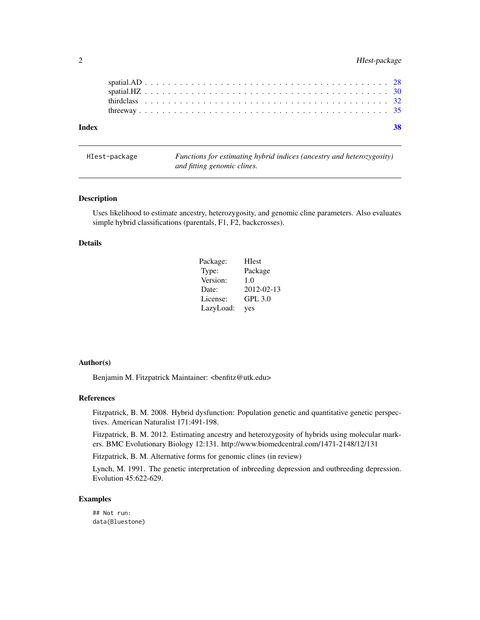# <span id="page-1-0"></span>2 HIest-package

HIest-package *Functions for estimating hybrid indices (ancestry and heterozygosity) and fitting genomic clines.*

# Description

Uses likelihood to estimate ancestry, heterozygosity, and genomic cline parameters. Also evaluates simple hybrid classifications (parentals, F1, F2, backcrosses).

#### Details

| Package:  | <b>H</b> est   |
|-----------|----------------|
| Type:     | Package        |
| Version:  | 1.0            |
| Date:     | 2012-02-13     |
| License:  | <b>GPL 3.0</b> |
| LazyLoad: | yes            |

# Author(s)

Benjamin M. Fitzpatrick Maintainer: <br/> <br/>benfitz@utk.edu>

#### References

Fitzpatrick, B. M. 2008. Hybrid dysfunction: Population genetic and quantitative genetic perspectives. American Naturalist 171:491-198.

Fitzpatrick, B. M. 2012. Estimating ancestry and heterozygosity of hybrids using molecular markers. BMC Evolutionary Biology 12:131. http://www.biomedcentral.com/1471-2148/12/131

Fitzpatrick, B. M. Alternative forms for genomic clines (in review)

Lynch, M. 1991. The genetic interpretation of inbreeding depression and outbreeding depression. Evolution 45:622-629.

# Examples

## Not run: data(Bluestone)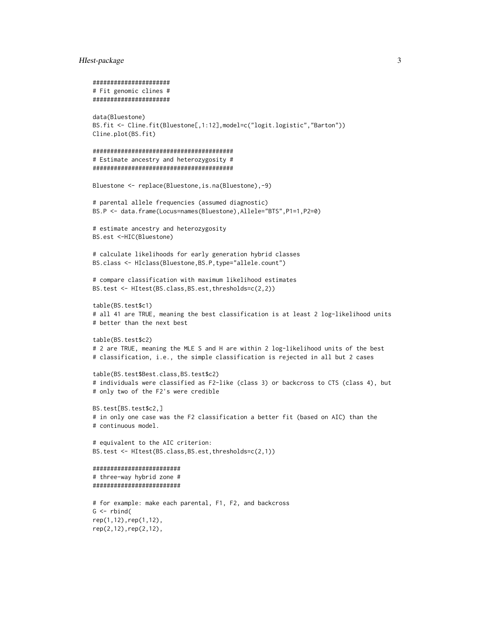# Hest-package 3

```
######################
# Fit genomic clines #
######################
data(Bluestone)
BS.fit <- Cline.fit(Bluestone[,1:12],model=c("logit.logistic","Barton"))
Cline.plot(BS.fit)
########################################
# Estimate ancestry and heterozygosity #
########################################
Bluestone <- replace(Bluestone,is.na(Bluestone),-9)
# parental allele frequencies (assumed diagnostic)
BS.P <- data.frame(Locus=names(Bluestone),Allele="BTS",P1=1,P2=0)
# estimate ancestry and heterozygosity
BS.est <-HIC(Bluestone)
# calculate likelihoods for early generation hybrid classes
BS.class <- HIclass(Bluestone,BS.P,type="allele.count")
# compare classification with maximum likelihood estimates
BS.test <- HItest(BS.class,BS.est,thresholds=c(2,2))
table(BS.test$c1)
# all 41 are TRUE, meaning the best classification is at least 2 log-likelihood units
# better than the next best
table(BS.test$c2)
# 2 are TRUE, meaning the MLE S and H are within 2 log-likelihood units of the best
# classification, i.e., the simple classification is rejected in all but 2 cases
table(BS.test$Best.class,BS.test$c2)
# individuals were classified as F2-like (class 3) or backcross to CTS (class 4), but
# only two of the F2's were credible
BS.test[BS.test$c2,]
# in only one case was the F2 classification a better fit (based on AIC) than the
# continuous model.
# equivalent to the AIC criterion:
BS.test <- HItest(BS.class,BS.est,thresholds=c(2,1))
#########################
# three-way hybrid zone #
#########################
# for example: make each parental, F1, F2, and backcross
G \leftarrow \text{rbind}(
rep(1,12),rep(1,12),
rep(2,12),rep(2,12),
```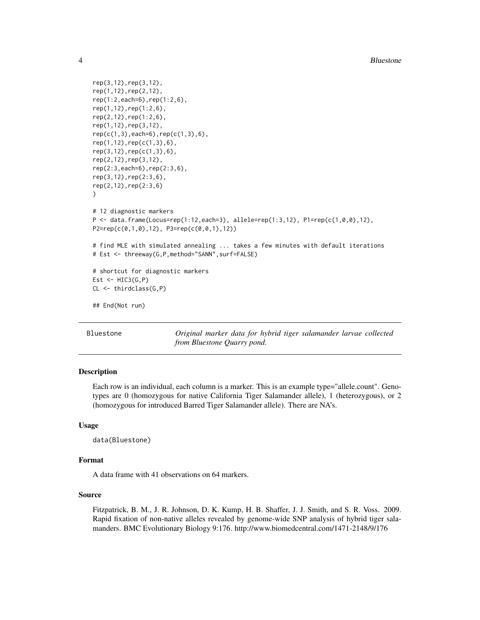```
rep(3,12),rep(3,12),
rep(1,12),rep(2,12),
rep(1:2,each=6),rep(1:2,6),
rep(1,12),rep(1:2,6),
rep(2,12),rep(1:2,6),
rep(1,12),rep(3,12),
rep(c(1,3),each=6), rep(c(1,3),6),rep(1,12),rep(c(1,3),6),
rep(3,12),rep(c(1,3),6),
rep(2,12),rep(3,12),
rep(2:3,each=6),rep(2:3,6),
rep(3,12),rep(2:3,6),
rep(2,12),rep(2:3,6)
)
# 12 diagnostic markers
P <- data.frame(Locus=rep(1:12,each=3), allele=rep(1:3,12), P1=rep(c(1,0,0),12),
P2=rep(c(0,1,0),12), P3=rep(c(0,0,1),12))
# find MLE with simulated annealing ... takes a few minutes with default iterations
# Est <- threeway(G,P,method="SANN",surf=FALSE)
# shortcut for diagnostic markers
Est \leftarrow HIC3(G,P)
CL <- thirdclass(G,P)
## End(Not run)
```
Bluestone *Original marker data for hybrid tiger salamander larvae collected from Bluestone Quarry pond.*

#### **Description**

Each row is an individual, each column is a marker. This is an example type="allele.count". Genotypes are 0 (homozygous for native California Tiger Salamander allele), 1 (heterozygous), or 2 (homozygous for introduced Barred Tiger Salamander allele). There are NA's.

#### Usage

```
data(Bluestone)
```
#### Format

A data frame with 41 observations on 64 markers.

# Source

Fitzpatrick, B. M., J. R. Johnson, D. K. Kump, H. B. Shaffer, J. J. Smith, and S. R. Voss. 2009. Rapid fixation of non-native alleles revealed by genome-wide SNP analysis of hybrid tiger salamanders. BMC Evolutionary Biology 9:176. http://www.biomedcentral.com/1471-2148/9/176

<span id="page-3-0"></span>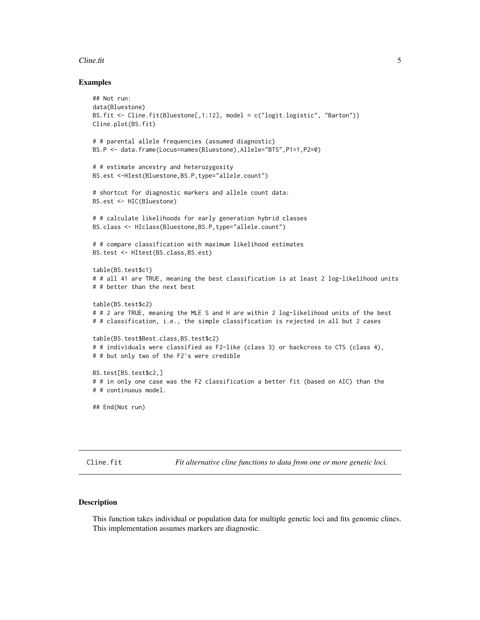#### <span id="page-4-0"></span>Cline.fit 5

#### Examples

```
## Not run:
data(Bluestone)
BS.fit <- Cline.fit(Bluestone[,1:12], model = c("logit.logistic", "Barton"))
Cline.plot(BS.fit)
# # parental allele frequencies (assumed diagnostic)
BS.P <- data.frame(Locus=names(Bluestone),Allele="BTS",P1=1,P2=0)
# # estimate ancestry and heterozygosity
BS.est <-HIest(Bluestone,BS.P,type="allele.count")
# shortcut for diagnostic markers and allele count data:
BS.est <- HIC(Bluestone)
# # calculate likelihoods for early generation hybrid classes
BS.class <- HIclass(Bluestone,BS.P,type="allele.count")
# # compare classification with maximum likelihood estimates
BS.test <- HItest(BS.class,BS.est)
table(BS.test$c1)
# # all 41 are TRUE, meaning the best classification is at least 2 log-likelihood units
# # better than the next best
table(BS.test$c2)
# # 2 are TRUE, meaning the MLE S and H are within 2 log-likelihood units of the best
# # classification, i.e., the simple classification is rejected in all but 2 cases
table(BS.test$Best.class,BS.test$c2)
# # individuals were classified as F2-like (class 3) or backcross to CTS (class 4),
# # but only two of the F2's were credible
BS.test[BS.test$c2,]
# # in only one case was the F2 classification a better fit (based on AIC) than the
# # continuous model.
## End(Not run)
```
<span id="page-4-1"></span>Cline.fit *Fit alternative cline functions to data from one or more genetic loci.*

#### Description

This function takes individual or population data for multiple genetic loci and fits genomic clines. This implementation assumes markers are diagnostic.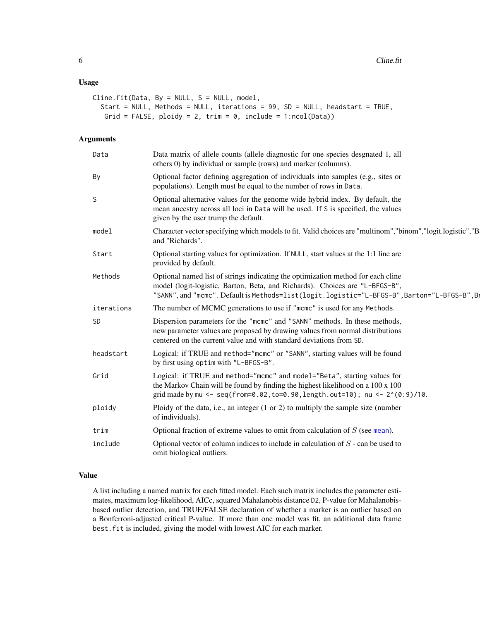# <span id="page-5-0"></span>Usage

```
Cline.fit(Data, By = NULL, S = NULL, model,
  Start = NULL, Methods = NULL, iterations = 99, SD = NULL, headstart = TRUE,
   Grid = FALSE, ploidy = 2, trim = 0, include = 1:ncol(Data))
```
# Arguments

| Data       | Data matrix of allele counts (allele diagnostic for one species desgnated 1, all<br>others 0) by individual or sample (rows) and marker (columns).                                                                                                             |
|------------|----------------------------------------------------------------------------------------------------------------------------------------------------------------------------------------------------------------------------------------------------------------|
| By         | Optional factor defining aggregation of individuals into samples (e.g., sites or<br>populations). Length must be equal to the number of rows in Data.                                                                                                          |
| S          | Optional alternative values for the genome wide hybrid index. By default, the<br>mean ancestry across all loci in Data will be used. If S is specified, the values<br>given by the user trump the default.                                                     |
| model      | Character vector specifying which models to fit. Valid choices are "multinom", "binom", "logit.logistic", "B<br>and "Richards".                                                                                                                                |
| Start      | Optional starting values for optimization. If NULL, start values at the 1:1 line are<br>provided by default.                                                                                                                                                   |
| Methods    | Optional named list of strings indicating the optimization method for each cline<br>model (logit-logistic, Barton, Beta, and Richards). Choices are "L-BFGS-B",<br>"SANN", and "mcmc". Default is Methods=list(logit.logistic="L-BFGS-B", Barton="L-BFGS-B", B |
| iterations | The number of MCMC generations to use if "mcmc" is used for any Methods.                                                                                                                                                                                       |
| SD         | Dispersion parameters for the "mcmc" and "SANN" methods. In these methods,<br>new parameter values are proposed by drawing values from normal distributions<br>centered on the current value and with standard deviations from SD.                             |
| headstart  | Logical: if TRUE and method="mcmc" or "SANN", starting values will be found<br>by first using optim with "L-BFGS-B".                                                                                                                                           |
| Grid       | Logical: if TRUE and method="mcmc" and model="Beta", starting values for<br>the Markov Chain will be found by finding the highest likelihood on a 100 x 100<br>grid made by mu <- seq(from=0.02, to=0.90, length.out=10); nu <- 2^(0:9)/10.                    |
| ploidy     | Ploidy of the data, i.e., an integer (1 or 2) to multiply the sample size (number<br>of individuals).                                                                                                                                                          |
| trim       | Optional fraction of extreme values to omit from calculation of $S$ (see mean).                                                                                                                                                                                |
| include    | Optional vector of column indices to include in calculation of $S$ - can be used to<br>omit biological outliers.                                                                                                                                               |

#### Value

A list including a named matrix for each fitted model. Each such matrix includes the parameter estimates, maximum log-likelihood, AICc, squared Mahalanobis distance D2, P-value for Mahalanobisbased outlier detection, and TRUE/FALSE declaration of whether a marker is an outlier based on a Bonferroni-adjusted critical P-value. If more than one model was fit, an additional data frame best.fit is included, giving the model with lowest AIC for each marker.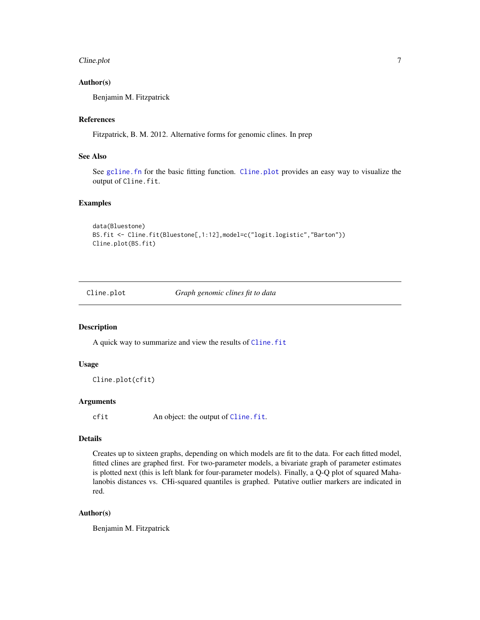#### <span id="page-6-0"></span>Cline.plot 7

## Author(s)

Benjamin M. Fitzpatrick

#### References

Fitzpatrick, B. M. 2012. Alternative forms for genomic clines. In prep

# See Also

See gcline. fn for the basic fitting function. Cline. plot provides an easy way to visualize the output of Cline.fit.

# Examples

```
data(Bluestone)
BS.fit <- Cline.fit(Bluestone[,1:12],model=c("logit.logistic","Barton"))
Cline.plot(BS.fit)
```
<span id="page-6-1"></span>

Cline.plot *Graph genomic clines fit to data*

# Description

A quick way to summarize and view the results of Cline. fit

# Usage

```
Cline.plot(cfit)
```
# Arguments

cfit An object: the output of [Cline.fit](#page-4-1).

# Details

Creates up to sixteen graphs, depending on which models are fit to the data. For each fitted model, fitted clines are graphed first. For two-parameter models, a bivariate graph of parameter estimates is plotted next (this is left blank for four-parameter models). Finally, a Q-Q plot of squared Mahalanobis distances vs. CHi-squared quantiles is graphed. Putative outlier markers are indicated in red.

# Author(s)

Benjamin M. Fitzpatrick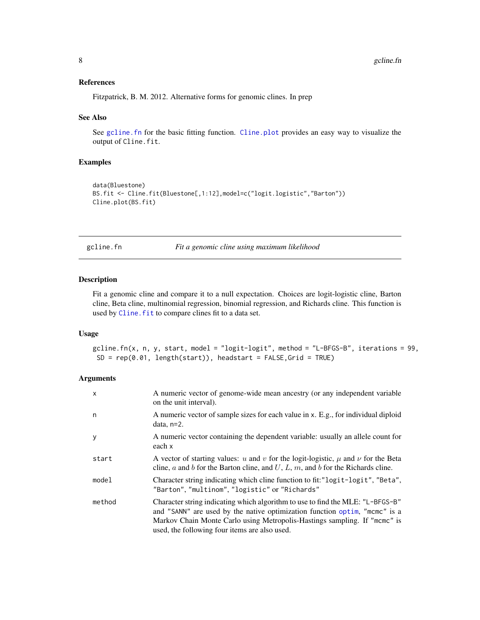#### <span id="page-7-0"></span>References

Fitzpatrick, B. M. 2012. Alternative forms for genomic clines. In prep

#### See Also

See [gcline.fn](#page-7-1) for the basic fitting function. [Cline.plot](#page-6-1) provides an easy way to visualize the output of Cline.fit.

#### Examples

```
data(Bluestone)
BS.fit <- Cline.fit(Bluestone[,1:12],model=c("logit.logistic","Barton"))
Cline.plot(BS.fit)
```
<span id="page-7-1"></span>gcline.fn *Fit a genomic cline using maximum likelihood*

# Description

Fit a genomic cline and compare it to a null expectation. Choices are logit-logistic cline, Barton cline, Beta cline, multinomial regression, binomial regression, and Richards cline. This function is used by Cline. fit to compare clines fit to a data set.

#### Usage

gcline.fn(x, n, y, start, model = "logit-logit", method = "L-BFGS-B", iterations = 99,  $SD = rep(0.01, length(start)), headstart = FALSE, Grid = TRUE)$ 

# Arguments

| $\mathsf{x}$ | A numeric vector of genome-wide mean ancestry (or any independent variable<br>on the unit interval).                                                                                                                                                                                       |
|--------------|--------------------------------------------------------------------------------------------------------------------------------------------------------------------------------------------------------------------------------------------------------------------------------------------|
| n            | A numeric vector of sample sizes for each value in x. E.g., for individual diploid<br>data, $n=2$ .                                                                                                                                                                                        |
| y            | A numeric vector containing the dependent variable: usually an allele count for<br>each x                                                                                                                                                                                                  |
| start        | A vector of starting values: u and v for the logit-logistic, $\mu$ and $\nu$ for the Beta<br>cline, a and b for the Barton cline, and $U, L, m$ , and b for the Richards cline.                                                                                                            |
| model        | Character string indicating which cline function to fit:"logit-logit", "Beta",<br>"Barton", "multinom", "logistic" or "Richards"                                                                                                                                                           |
| method       | Character string indicating which algorithm to use to find the MLE: "L-BFGS-B"<br>and "SANN" are used by the native optimization function optim, "mcmc" is a<br>Markov Chain Monte Carlo using Metropolis-Hastings sampling. If "mcmc" is<br>used, the following four items are also used. |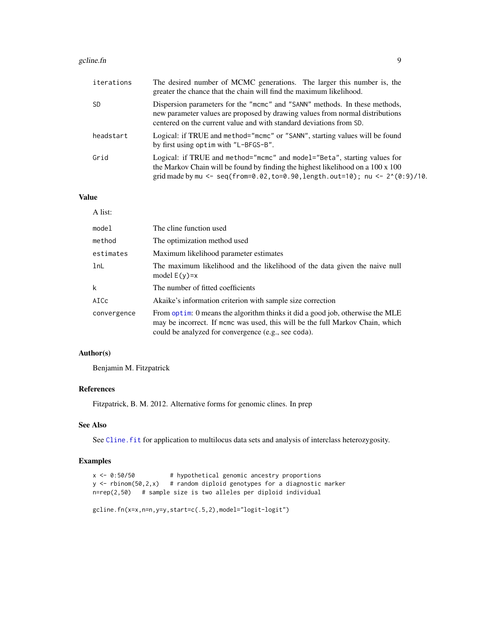#### <span id="page-8-0"></span>gcline.fn 9

| iterations | The desired number of MCMC generations. The larger this number is, the<br>greater the chance that the chain will find the maximum likelihood.                                                                                                    |
|------------|--------------------------------------------------------------------------------------------------------------------------------------------------------------------------------------------------------------------------------------------------|
| SD.        | Dispersion parameters for the "mcmc" and "SANN" methods. In these methods,<br>new parameter values are proposed by drawing values from normal distributions<br>centered on the current value and with standard deviations from SD.               |
| headstart  | Logical: if TRUE and method="mcmc" or "SANN", starting values will be found<br>by first using optim with "L-BFGS-B".                                                                                                                             |
| Grid       | Logical: if TRUE and method="mcmc" and model="Beta", starting values for<br>the Markov Chain will be found by finding the highest likelihood on a 100 x 100<br>grid made by mu <- seq(from=0.02, to=0.90, length.out=10); nu <- $2^{(0.9)}/10$ . |

# Value

| A list:     |                                                                                                                                                                                                                       |
|-------------|-----------------------------------------------------------------------------------------------------------------------------------------------------------------------------------------------------------------------|
| model       | The cline function used                                                                                                                                                                                               |
| method      | The optimization method used                                                                                                                                                                                          |
| estimates   | Maximum likelihood parameter estimates                                                                                                                                                                                |
| 1nL         | The maximum likelihood and the likelihood of the data given the naive null<br>model $E(y)=x$                                                                                                                          |
| k           | The number of fitted coefficients                                                                                                                                                                                     |
| AICc        | Akaike's information criterion with sample size correction                                                                                                                                                            |
| convergence | From optim: 0 means the algorithm thinks it did a good job, otherwise the MLE<br>may be incorrect. If mome was used, this will be the full Markov Chain, which<br>could be analyzed for convergence (e.g., see coda). |

# Author(s)

Benjamin M. Fitzpatrick

# References

Fitzpatrick, B. M. 2012. Alternative forms for genomic clines. In prep

# See Also

See Cline. fit for application to multilocus data sets and analysis of interclass heterozygosity.

# Examples

```
x \le -0.50/50 # hypothetical genomic ancestry proportions
y \leftarrow rbinom(50,2,x) # random diploid genotypes for a diagnostic marker
n=rep(2,50) # sample size is two alleles per diploid individual
```

```
gcline.fn(x=x,n=n,y=y,start=c(.5,2),model="logit-logit")
```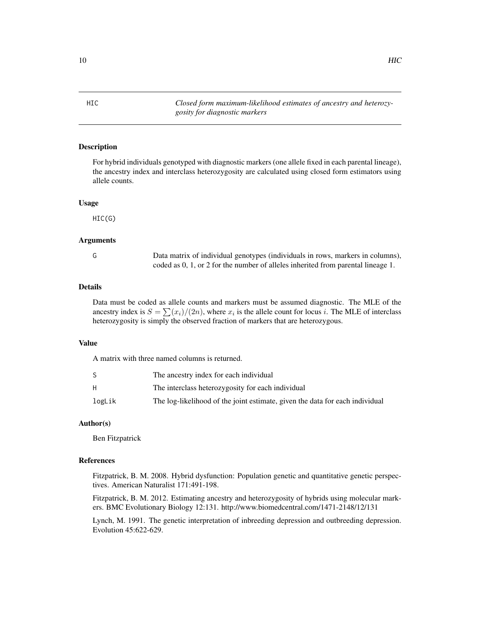## Description

For hybrid individuals genotyped with diagnostic markers (one allele fixed in each parental lineage), the ancestry index and interclass heterozygosity are calculated using closed form estimators using allele counts.

#### Usage

HIC(G)

### Arguments

G Data matrix of individual genotypes (individuals in rows, markers in columns), coded as 0, 1, or 2 for the number of alleles inherited from parental lineage 1.

#### Details

Data must be coded as allele counts and markers must be assumed diagnostic. The MLE of the ancestry index is  $S = \sum_{i=1}^{n} (x_i)/(2n)$ , where  $x_i$  is the allele count for locus i. The MLE of interclass heterozygosity is simply the observed fraction of markers that are heterozygous.

#### Value

A matrix with three named columns is returned.

|        | The ancestry index for each individual                                       |
|--------|------------------------------------------------------------------------------|
|        | The interclass heterozygosity for each individual                            |
| logLik | The log-likelihood of the joint estimate, given the data for each individual |

#### Author(s)

Ben Fitzpatrick

#### References

Fitzpatrick, B. M. 2008. Hybrid dysfunction: Population genetic and quantitative genetic perspectives. American Naturalist 171:491-198.

Fitzpatrick, B. M. 2012. Estimating ancestry and heterozygosity of hybrids using molecular markers. BMC Evolutionary Biology 12:131. http://www.biomedcentral.com/1471-2148/12/131

Lynch, M. 1991. The genetic interpretation of inbreeding depression and outbreeding depression. Evolution 45:622-629.

<span id="page-9-1"></span><span id="page-9-0"></span>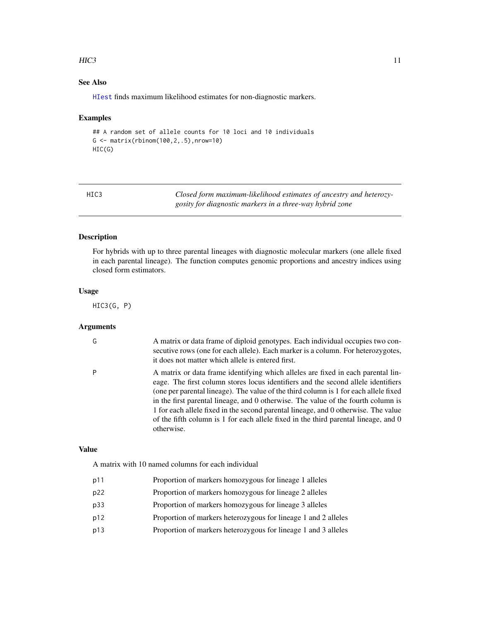#### <span id="page-10-0"></span> $HIC3$  11

# See Also

[HIest](#page-14-1) finds maximum likelihood estimates for non-diagnostic markers.

#### Examples

```
## A random set of allele counts for 10 loci and 10 individuals
G \leftarrow \text{matrix(rbinom100,2,.5)},nrow=10)
HIC(G)
```
<span id="page-10-1"></span>

| HIC3 | Closed form maximum-likelihood estimates of ancestry and heterozy- |
|------|--------------------------------------------------------------------|
|      | gosity for diagnostic markers in a three-way hybrid zone           |

# Description

For hybrids with up to three parental lineages with diagnostic molecular markers (one allele fixed in each parental lineage). The function computes genomic proportions and ancestry indices using closed form estimators.

#### Usage

HIC3(G, P)

#### Arguments

| G | A matrix or data frame of diploid genotypes. Each individual occupies two con-<br>secutive rows (one for each allele). Each marker is a column. For heterozygotes,<br>it does not matter which allele is entered first.                                                                                                                                                                                                                                                                                                                       |
|---|-----------------------------------------------------------------------------------------------------------------------------------------------------------------------------------------------------------------------------------------------------------------------------------------------------------------------------------------------------------------------------------------------------------------------------------------------------------------------------------------------------------------------------------------------|
| P | A matrix or data frame identifying which alleles are fixed in each parental lin-<br>eage. The first column stores locus identifiers and the second allele identifiers<br>(one per parental lineage). The value of the third column is 1 for each allele fixed<br>in the first parental lineage, and 0 otherwise. The value of the fourth column is<br>1 for each allele fixed in the second parental lineage, and 0 otherwise. The value<br>of the fifth column is 1 for each allele fixed in the third parental lineage, and 0<br>otherwise. |

#### Value

A matrix with 10 named columns for each individual

- p11 Proportion of markers homozygous for lineage 1 alleles
- p22 Proportion of markers homozygous for lineage 2 alleles
- p33 Proportion of markers homozygous for lineage 3 alleles
- p12 Proportion of markers heterozygous for lineage 1 and 2 alleles
- p13 Proportion of markers heterozygous for lineage 1 and 3 alleles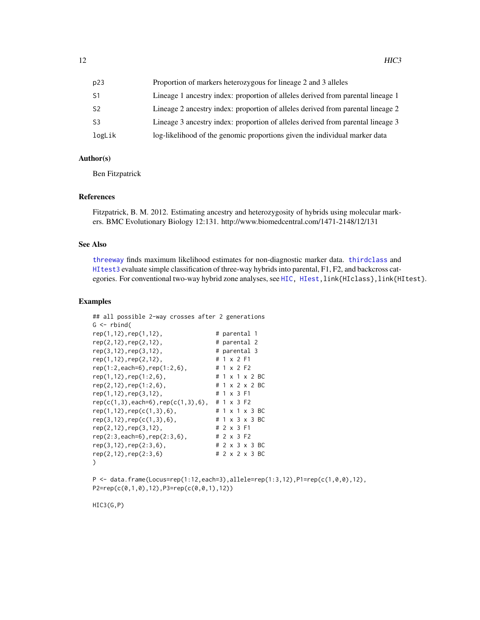<span id="page-11-0"></span>

| p23            | Proportion of markers heterozygous for lineage 2 and 3 alleles                  |
|----------------|---------------------------------------------------------------------------------|
| S1             | Lineage 1 ancestry index: proportion of alleles derived from parental lineage 1 |
| S2             | Lineage 2 ancestry index: proportion of alleles derived from parental lineage 2 |
| S <sub>3</sub> | Lineage 3 ancestry index: proportion of alleles derived from parental lineage 3 |
| logLik         | log-likelihood of the genomic proportions given the individual marker data      |

#### Author(s)

Ben Fitzpatrick

#### References

Fitzpatrick, B. M. 2012. Estimating ancestry and heterozygosity of hybrids using molecular markers. BMC Evolutionary Biology 12:131. http://www.biomedcentral.com/1471-2148/12/131

#### See Also

[threeway](#page-34-1) finds maximum likelihood estimates for non-diagnostic marker data. [thirdclass](#page-31-1) and [HItest3](#page-24-1) evaluate simple classification of three-way hybrids into parental, F1, F2, and backcross cat-egories. For conventional two-way hybrid zone analyses, see [HIC,](#page-9-1) [HIest,](#page-14-1) link{HIclass}, link{HItest}.

# Examples

```
## all possible 2-way crosses after 2 generations
G \leftarrow \text{rbind}(rep(1,12),rep(1,12), # parental 1
rep(2,12), rep(2,12), # parental 2<br>rep(3,12),rep(3,12), # parental 3
rep(3,12), rep(3,12), # parental rep(1,12), rep(2,12), # 1 x 2 F1
rep(1,12),rep(2,12), # 1 x 2 F1<br>rep(1:2,each=6),rep(1:2,6), # 1 x 2 F2
rep(1:2, each=6), rep(1:2, 6),
rep(1,12),rep(1:2,6), \qquad \qquad # 1 \times 1 \times 2 \text{ BC}<br>rep(2,12),rep(1:2,6), \qquad \qquad # 1 \times 2 \times 2 \text{ BC}rep(2,12),rep(1:2,6), # 1 x 2 x 2<br>rep(1,12),rep(3,12), # 1 x 3 F1
rep(1,12), rep(3,12),
rep(c(1,3), each=6), rep(c(1,3),6), # 1 x 3 F2rep(1,12), rep(c(1,3),6), # 1 x 1 x 3 BC
rep(3,12), rep(c(1,3),6), # 1 x 3 x 3 BC
rep(2,12),rep(3,12), # 2 x 3 F1
rep(2:3,each=6),rep(2:3,6), # 2 x 3 F2
rep(3,12),rep(2:3,6), # 2 x 3 x 3 BC
rep(2,12),rep(2:3,6) # 2 x 2 x 3 BC
)
```
 $P \leq -$  data.frame(Locus=rep(1:12,each=3),allele=rep(1:3,12), $P1 = rep(c(1,0,0),12)$ , P2=rep(c(0,1,0),12),P3=rep(c(0,0,1),12))

HIC3(G,P)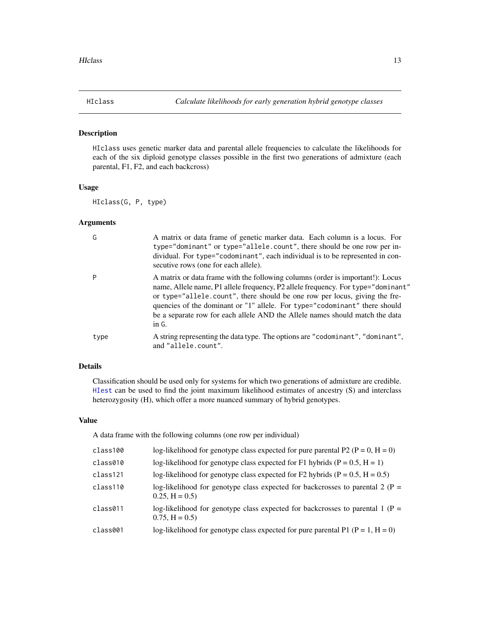<span id="page-12-1"></span><span id="page-12-0"></span>

# Description

HIclass uses genetic marker data and parental allele frequencies to calculate the likelihoods for each of the six diploid genotype classes possible in the first two generations of admixture (each parental, F1, F2, and each backcross)

# Usage

HIclass(G, P, type)

# Arguments

| G    | A matrix or data frame of genetic marker data. Each column is a locus. For<br>type="dominant" or type="allele.count", there should be one row per in-<br>dividual. For type="codominant", each individual is to be represented in con-<br>secutive rows (one for each allele).                                                                                                                                          |
|------|-------------------------------------------------------------------------------------------------------------------------------------------------------------------------------------------------------------------------------------------------------------------------------------------------------------------------------------------------------------------------------------------------------------------------|
| P    | A matrix or data frame with the following columns (order is important!): Locus<br>mame, Allele name, P1 allele frequency, P2 allele frequency. For type="dominant"<br>or type="allele.count", there should be one row per locus, giving the fre-<br>quencies of the dominant or "1" allele. For type="codominant" there should<br>be a separate row for each allele AND the Allele names should match the data<br>in G. |
| type | A string representing the data type. The options are "codominant", "dominant",<br>and "allele.count".                                                                                                                                                                                                                                                                                                                   |

# Details

Classification should be used only for systems for which two generations of admixture are credible. [HIest](#page-14-1) can be used to find the joint maximum likelihood estimates of ancestry (S) and interclass heterozygosity (H), which offer a more nuanced summary of hybrid genotypes.

#### Value

A data frame with the following columns (one row per individual)

| log-likelihood for genotype class expected for F1 hybrids ( $P = 0.5$ , $H = 1$ )<br>log-likelihood for genotype class expected for F2 hybrids ( $P = 0.5$ , $H = 0.5$ )<br>$0.25, H = 0.5$<br>$0.75, H = 0.5$<br>log-likelihood for genotype class expected for pure parental P1 ( $P = 1$ , $H = 0$ ) | class100 | log-likelihood for genotype class expected for pure parental P2 ( $P = 0$ , $H = 0$ ) |
|---------------------------------------------------------------------------------------------------------------------------------------------------------------------------------------------------------------------------------------------------------------------------------------------------------|----------|---------------------------------------------------------------------------------------|
|                                                                                                                                                                                                                                                                                                         | class010 |                                                                                       |
|                                                                                                                                                                                                                                                                                                         | class121 |                                                                                       |
|                                                                                                                                                                                                                                                                                                         | class110 | log-likelihood for genotype class expected for backcrosses to parental 2 ( $P =$      |
|                                                                                                                                                                                                                                                                                                         | class011 | log-likelihood for genotype class expected for backcrosses to parental 1 ( $P =$      |
|                                                                                                                                                                                                                                                                                                         | class001 |                                                                                       |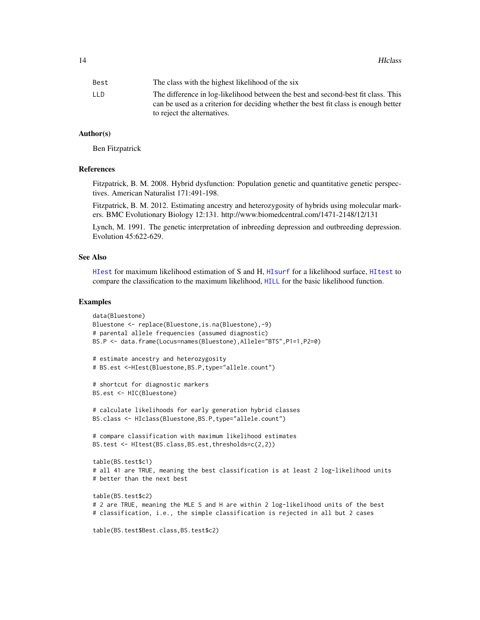<span id="page-13-0"></span>

| Best | The class with the highest likelihood of the six                                    |
|------|-------------------------------------------------------------------------------------|
| LLD  | The difference in log-likelihood between the best and second-best fit class. This   |
|      | can be used as a criterion for deciding whether the best fit class is enough better |
|      | to reject the alternatives.                                                         |

#### Author(s)

Ben Fitzpatrick

#### References

Fitzpatrick, B. M. 2008. Hybrid dysfunction: Population genetic and quantitative genetic perspectives. American Naturalist 171:491-198.

Fitzpatrick, B. M. 2012. Estimating ancestry and heterozygosity of hybrids using molecular markers. BMC Evolutionary Biology 12:131. http://www.biomedcentral.com/1471-2148/12/131

Lynch, M. 1991. The genetic interpretation of inbreeding depression and outbreeding depression. Evolution 45:622-629.

#### See Also

[HIest](#page-14-1) for maximum likelihood estimation of S and H, [HIsurf](#page-19-1) for a likelihood surface, [HItest](#page-21-1) to compare the classification to the maximum likelihood, [HILL](#page-17-1) for the basic likelihood function.

#### Examples

```
data(Bluestone)
Bluestone <- replace(Bluestone,is.na(Bluestone),-9)
# parental allele frequencies (assumed diagnostic)
BS.P <- data.frame(Locus=names(Bluestone),Allele="BTS",P1=1,P2=0)
# estimate ancestry and heterozygosity
# BS.est <-HIest(Bluestone,BS.P,type="allele.count")
# shortcut for diagnostic markers
BS.est <- HIC(Bluestone)
# calculate likelihoods for early generation hybrid classes
BS.class <- HIclass(Bluestone,BS.P,type="allele.count")
# compare classification with maximum likelihood estimates
BS.test <- HItest(BS.class, BS.est, thresholds=c(2,2))
table(BS.test$c1)
# all 41 are TRUE, meaning the best classification is at least 2 log-likelihood units
# better than the next best
table(BS.test$c2)
# 2 are TRUE, meaning the MLE S and H are within 2 log-likelihood units of the best
# classification, i.e., the simple classification is rejected in all but 2 cases
table(BS.test$Best.class,BS.test$c2)
```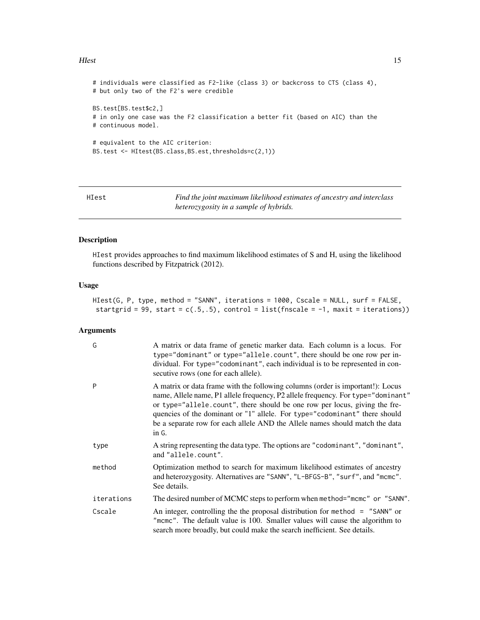#### <span id="page-14-0"></span>Hest 15

```
# individuals were classified as F2-like (class 3) or backcross to CTS (class 4),
# but only two of the F2's were credible
BS.test[BS.test$c2,]
# in only one case was the F2 classification a better fit (based on AIC) than the
# continuous model.
# equivalent to the AIC criterion:
BS.test <- HItest(BS.class,BS.est,thresholds=c(2,1))
```
<span id="page-14-1"></span>HIest *Find the joint maximum likelihood estimates of ancestry and interclass heterozygosity in a sample of hybrids.*

#### Description

HIest provides approaches to find maximum likelihood estimates of S and H, using the likelihood functions described by Fitzpatrick (2012).

#### Usage

```
HIest(G, P, type, method = "SANN", iterations = 1000, Cscale = NULL, surf = FALSE,
startgrid = 99, start = c(.5,.5), control = list(fnscale = -1, maxit = iterations))
```
#### Arguments

| G          | A matrix or data frame of genetic marker data. Each column is a locus. For<br>type="dominant" or type="allele.count", there should be one row per in-<br>dividual. For type="codominant", each individual is to be represented in con-<br>secutive rows (one for each allele).                                                                                                                                          |
|------------|-------------------------------------------------------------------------------------------------------------------------------------------------------------------------------------------------------------------------------------------------------------------------------------------------------------------------------------------------------------------------------------------------------------------------|
| P          | A matrix or data frame with the following columns (order is important!): Locus<br>name, Allele name, P1 allele frequency, P2 allele frequency. For type="dominant"<br>or type="allele.count", there should be one row per locus, giving the fre-<br>quencies of the dominant or "1" allele. For type="codominant" there should<br>be a separate row for each allele AND the Allele names should match the data<br>in G. |
| type       | A string representing the data type. The options are "codominant", "dominant",<br>and "allele.count".                                                                                                                                                                                                                                                                                                                   |
| method     | Optimization method to search for maximum likelihood estimates of ancestry<br>and heterozygosity. Alternatives are "SANN", "L-BFGS-B", "surf", and "mcmc".<br>See details.                                                                                                                                                                                                                                              |
| iterations | The desired number of MCMC steps to perform when method="mcmc" or "SANN".                                                                                                                                                                                                                                                                                                                                               |
| Cscale     | An integer, controlling the the proposal distribution for method $=$ "SANN" or<br>"mcmc". The default value is 100. Smaller values will cause the algorithm to<br>search more broadly, but could make the search inefficient. See details.                                                                                                                                                                              |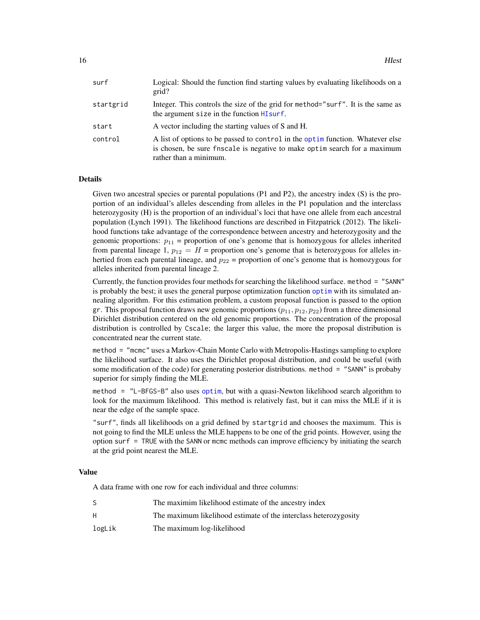<span id="page-15-0"></span>

| surf      | Logical: Should the function find starting values by evaluating likelihoods on a<br>grid?                                                                                             |
|-----------|---------------------------------------------------------------------------------------------------------------------------------------------------------------------------------------|
| startgrid | Integer. This controls the size of the grid for method="surf". It is the same as<br>the argument size in the function HI surf.                                                        |
| start     | A vector including the starting values of S and H.                                                                                                                                    |
| control   | A list of options to be passed to control in the optim function. Whatever else<br>is chosen, be sure fnscale is negative to make optim search for a maximum<br>rather than a minimum. |

#### Details

Given two ancestral species or parental populations (P1 and P2), the ancestry index (S) is the proportion of an individual's alleles descending from alleles in the P1 population and the interclass heterozygosity (H) is the proportion of an individual's loci that have one allele from each ancestral population (Lynch 1991). The likelihood functions are described in Fitzpatrick (2012). The likelihood functions take advantage of the correspondence between ancestry and heterozygosity and the genomic proportions:  $p_{11}$  = proportion of one's genome that is homozygous for alleles inherited from parental lineage 1,  $p_{12} = H$  = proportion one's genome that is heterozygous for alleles inhertied from each parental lineage, and  $p_{22}$  = proportion of one's genome that is homozygous for alleles inherited from parental lineage 2.

Currently, the function provides four methods for searching the likelihood surface. method = "SANN" is probably the best; it uses the general purpose optimization function [optim](#page-0-0) with its simulated annealing algorithm. For this estimation problem, a custom proposal function is passed to the option gr. This proposal function draws new genomic proportions  $(p_{11}, p_{12}, p_{22})$  from a three dimensional Dirichlet distribution centered on the old genomic proportions. The concentration of the proposal distribution is controlled by Cscale; the larger this value, the more the proposal distribution is concentrated near the current state.

method = "mcmc" uses a Markov-Chain Monte Carlo with Metropolis-Hastings sampling to explore the likelihood surface. It also uses the Dirichlet proposal distribution, and could be useful (with some modification of the code) for generating posterior distributions. method = "SANN" is probaby superior for simply finding the MLE.

method = "L-BFGS-B" also uses [optim](#page-0-0), but with a quasi-Newton likelihood search algorithm to look for the maximum likelihood. This method is relatively fast, but it can miss the MLE if it is near the edge of the sample space.

"surf", finds all likelihoods on a grid defined by startgrid and chooses the maximum. This is not going to find the MLE unless the MLE happens to be one of the grid points. However, using the option surf = TRUE with the SANN or mcmc methods can improve efficiency by initiating the search at the grid point nearest the MLE.

#### Value

A data frame with one row for each individual and three columns:

|        | The maximim likelihood estimate of the ancestry index            |
|--------|------------------------------------------------------------------|
| H      | The maximum likelihood estimate of the interclass heterozygosity |
| logLik | The maximum log-likelihood                                       |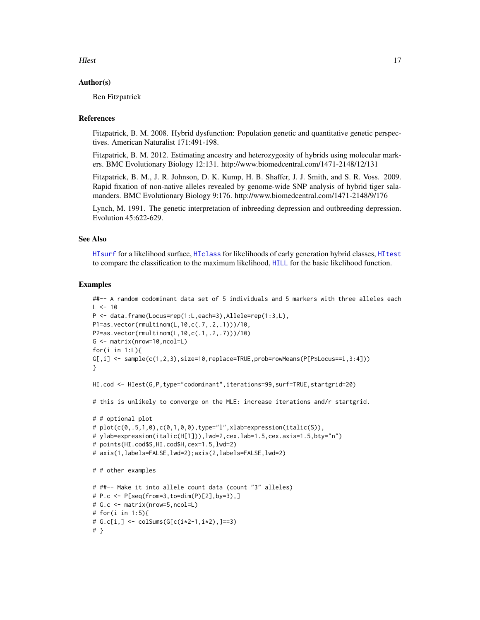<span id="page-16-0"></span>HIest 17

#### Author(s)

Ben Fitzpatrick

#### References

Fitzpatrick, B. M. 2008. Hybrid dysfunction: Population genetic and quantitative genetic perspectives. American Naturalist 171:491-198.

Fitzpatrick, B. M. 2012. Estimating ancestry and heterozygosity of hybrids using molecular markers. BMC Evolutionary Biology 12:131. http://www.biomedcentral.com/1471-2148/12/131

Fitzpatrick, B. M., J. R. Johnson, D. K. Kump, H. B. Shaffer, J. J. Smith, and S. R. Voss. 2009. Rapid fixation of non-native alleles revealed by genome-wide SNP analysis of hybrid tiger salamanders. BMC Evolutionary Biology 9:176. http://www.biomedcentral.com/1471-2148/9/176

Lynch, M. 1991. The genetic interpretation of inbreeding depression and outbreeding depression. Evolution 45:622-629.

# See Also

[HIsurf](#page-19-1) for a likelihood surface, [HIclass](#page-12-1) for likelihoods of early generation hybrid classes, [HItest](#page-21-1) to compare the classification to the maximum likelihood, [HILL](#page-17-1) for the basic likelihood function.

#### Examples

```
##-- A random codominant data set of 5 individuals and 5 markers with three alleles each
L < -10P <- data.frame(Locus=rep(1:L,each=3),Allele=rep(1:3,L),
P1=as.vector(rmultinom(L,10,c(.7,.2,.1)))/10,
P2=as.vector(rmultinom(L,10,c(.1,.2,.7)))/10)
G <- matrix(nrow=10,ncol=L)
for(i in 1:L){
G[, i] \leq \text{sample}(c(1, 2, 3), size=10, replace=TRUE, probe=rowMeans(P[P$Locus==i, 3:4]))}
HI.cod <- HIest(G,P,type="codominant",iterations=99,surf=TRUE,startgrid=20)
# this is unlikely to converge on the MLE: increase iterations and/r startgrid.
# # optional plot
# plot(c(\emptyset, .5, 1, \emptyset), c(\emptyset, 1, \emptyset, \emptyset), type="1", xlabelexpression(italic(S)),# ylab=expression(italic(H[I])),lwd=2,cex.lab=1.5,cex.axis=1.5,bty="n")
# points(HI.cod$S,HI.cod$H,cex=1.5,lwd=2)
# axis(1,labels=FALSE,lwd=2);axis(2,labels=FALSE,lwd=2)
# # other examples
# ##-- Make it into allele count data (count "3" alleles)
# P.c <- P[seq(from=3,to=dim(P)[2],by=3),]
# G.c <- matrix(nrow=5,ncol=L)
# for(i in 1:5){
# G.c[i, ] \leftarrow colSums(G[c(i*2-1,i*2), ] == 3)# }
```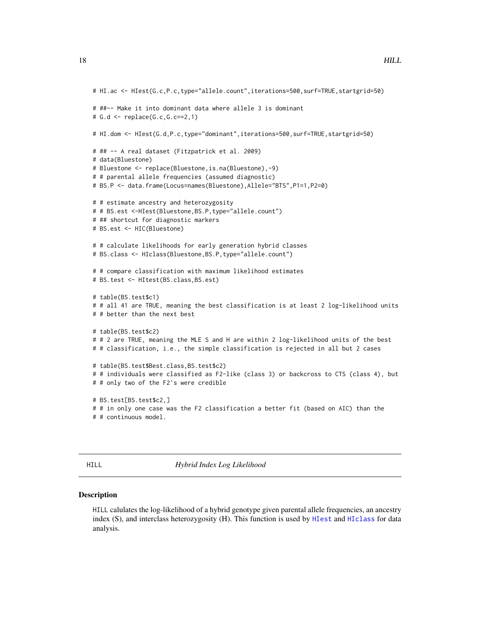```
# HI.ac <- HIest(G.c,P.c,type="allele.count",iterations=500,surf=TRUE,startgrid=50)
# ##-- Make it into dominant data where allele 3 is dominant
# G.d <- replace(G.c,G.c==2,1)
# HI.dom <- HIest(G.d,P.c,type="dominant",iterations=500,surf=TRUE,startgrid=50)
# ## -- A real dataset (Fitzpatrick et al. 2009)
# data(Bluestone)
# Bluestone <- replace(Bluestone,is.na(Bluestone),-9)
# # parental allele frequencies (assumed diagnostic)
# BS.P <- data.frame(Locus=names(Bluestone),Allele="BTS",P1=1,P2=0)
# # estimate ancestry and heterozygosity
# # BS.est <-HIest(Bluestone,BS.P,type="allele.count")
# ## shortcut for diagnostic markers
# BS.est <- HIC(Bluestone)
# # calculate likelihoods for early generation hybrid classes
# BS.class <- HIclass(Bluestone,BS.P,type="allele.count")
# # compare classification with maximum likelihood estimates
# BS.test <- HItest(BS.class,BS.est)
# table(BS.test$c1)
# # all 41 are TRUE, meaning the best classification is at least 2 log-likelihood units
# # better than the next best
# table(BS.test$c2)
# # 2 are TRUE, meaning the MLE S and H are within 2 log-likelihood units of the best
# # classification, i.e., the simple classification is rejected in all but 2 cases
# table(BS.test$Best.class,BS.test$c2)
# # individuals were classified as F2-like (class 3) or backcross to CTS (class 4), but
# # only two of the F2's were credible
# BS.test[BS.test$c2,]
# # in only one case was the F2 classification a better fit (based on AIC) than the
# # continuous model.
```
<span id="page-17-1"></span>HILL *Hybrid Index Log Likelihood*

#### Description

HILL calulates the log-likelihood of a hybrid genotype given parental allele frequencies, an ancestry index (S), and interclass heterozygosity (H). This function is used by [HIest](#page-14-1) and [HIclass](#page-12-1) for data analysis.

<span id="page-17-0"></span>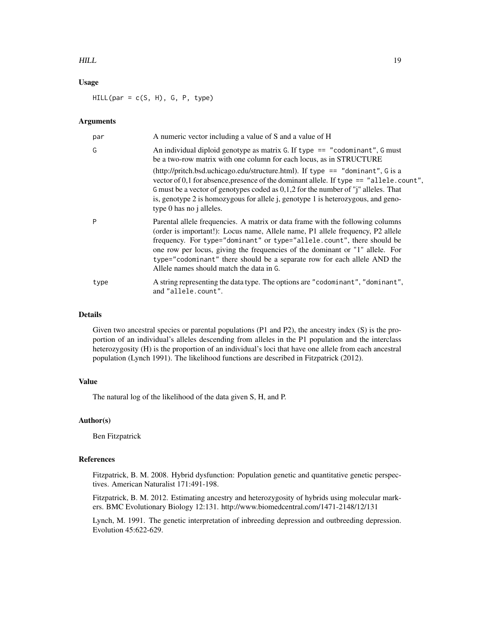#### $HILL$  19

# Usage

 $HILL(par = c(S, H), G, P, type)$ 

#### Arguments

| par  | A numeric vector including a value of S and a value of H                                                                                                                                                                                                                                                                                                                                                                                           |
|------|----------------------------------------------------------------------------------------------------------------------------------------------------------------------------------------------------------------------------------------------------------------------------------------------------------------------------------------------------------------------------------------------------------------------------------------------------|
| G    | An individual diploid genotype as matrix G. If type $==$ "codominant", G must<br>be a two-row matrix with one column for each locus, as in STRUCTURE                                                                                                                                                                                                                                                                                               |
|      | (http://pritch.bsd.uchicago.edu/structure.html). If type $ ==$ "dominant", G is a<br>vector of 0,1 for absence, presence of the dominant allele. If type $==$ "allele.count",<br>G must be a vector of genotypes coded as $0,1,2$ for the number of "j" alleles. That<br>is, genotype 2 is homozygous for allele j, genotype 1 is heterozygous, and geno-<br>type 0 has no j alleles.                                                              |
| P    | Parental allele frequencies. A matrix or data frame with the following columns<br>(order is important!): Locus name, Allele name, P1 allele frequency, P2 allele<br>frequency. For type="dominant" or type="allele.count", there should be<br>one row per locus, giving the frequencies of the dominant or "1" allele. For<br>type="codominant" there should be a separate row for each allele AND the<br>Allele names should match the data in G. |
| type | A string representing the data type. The options are "codominant", "dominant",<br>and "allele.count".                                                                                                                                                                                                                                                                                                                                              |

# Details

Given two ancestral species or parental populations (P1 and P2), the ancestry index (S) is the proportion of an individual's alleles descending from alleles in the P1 population and the interclass heterozygosity (H) is the proportion of an individual's loci that have one allele from each ancestral population (Lynch 1991). The likelihood functions are described in Fitzpatrick (2012).

# Value

The natural log of the likelihood of the data given S, H, and P.

#### Author(s)

Ben Fitzpatrick

#### References

Fitzpatrick, B. M. 2008. Hybrid dysfunction: Population genetic and quantitative genetic perspectives. American Naturalist 171:491-198.

Fitzpatrick, B. M. 2012. Estimating ancestry and heterozygosity of hybrids using molecular markers. BMC Evolutionary Biology 12:131. http://www.biomedcentral.com/1471-2148/12/131

Lynch, M. 1991. The genetic interpretation of inbreeding depression and outbreeding depression. Evolution 45:622-629.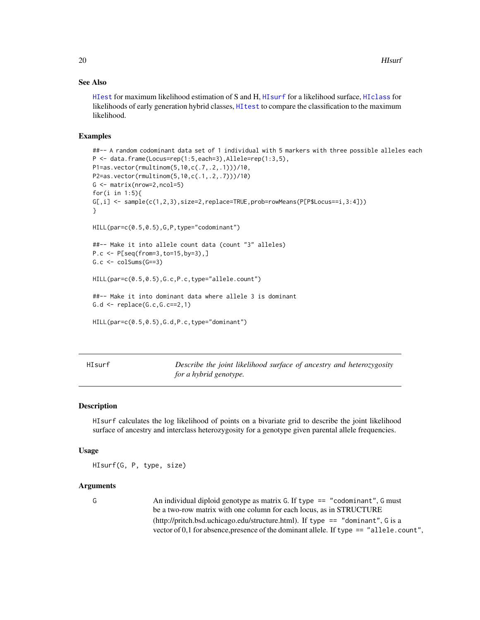# <span id="page-19-0"></span>See Also

[HIest](#page-14-1) for maximum likelihood estimation of S and H, [HIsurf](#page-19-1) for a likelihood surface, [HIclass](#page-12-1) for likelihoods of early generation hybrid classes, [HItest](#page-21-1) to compare the classification to the maximum likelihood.

### Examples

```
##-- A random codominant data set of 1 individual with 5 markers with three possible alleles each
P <- data.frame(Locus=rep(1:5,each=3),Allele=rep(1:3,5),
P1=as.vector(rmultinom(5,10,c(.7,.2,.1)))/10,
P2=as.vector(rmultinom(5,10,c(.1,.2,.7)))/10)
G \leftarrow \text{matrix(nrow=2, ncol=5)}for(i in 1:5){
G[,i] \leftarrow sample(c(1,2,3),size=2,replace=TRUE,prob=rowMeans(P[PSLocus==i,3:4]))}
HILL(par=c(0.5,0.5),G,P,type="codominant")
##-- Make it into allele count data (count "3" alleles)
P.c <- P[seq(from=3,to=15,by=3),]
G.c \leftarrow colSumS(G==3)HILL(par=c(0.5,0.5),G.c,P.c,type="allele.count")
##-- Make it into dominant data where allele 3 is dominant
G.d \leftarrow replace(G.c,G.c==2,1)HILL(par=c(0.5,0.5),G.d,P.c,type="dominant")
```
<span id="page-19-1"></span>

HIsurf *Describe the joint likelihood surface of ancestry and heterozygosity for a hybrid genotype.*

### Description

HIsurf calculates the log likelihood of points on a bivariate grid to describe the joint likelihood surface of ancestry and interclass heterozygosity for a genotype given parental allele frequencies.

#### Usage

HIsurf(G, P, type, size)

# Arguments

G An individual diploid genotype as matrix G. If type == "codominant", G must be a two-row matrix with one column for each locus, as in STRUCTURE (http://pritch.bsd.uchicago.edu/structure.html). If type == "dominant", G is a vector of  $0,1$  for absence, presence of the dominant allele. If type  $==$  "allele.count",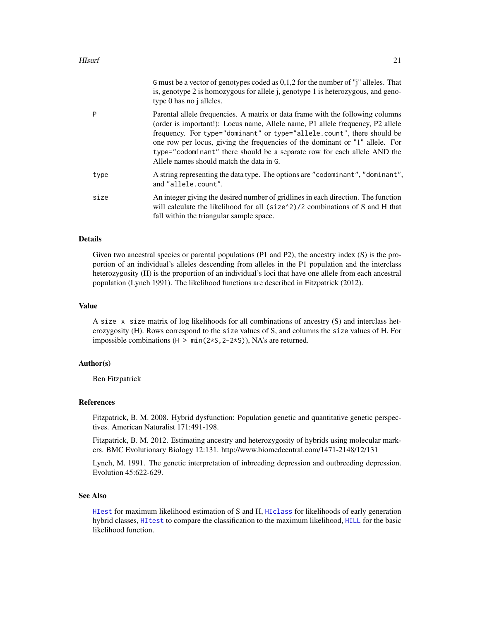<span id="page-20-0"></span>

|      | G must be a vector of genotypes coded as $0,1,2$ for the number of "j" alleles. That<br>is, genotype 2 is homozygous for allele j, genotype 1 is heterozygous, and geno-<br>type 0 has no j alleles.                                                                                                                                                                                                                                               |
|------|----------------------------------------------------------------------------------------------------------------------------------------------------------------------------------------------------------------------------------------------------------------------------------------------------------------------------------------------------------------------------------------------------------------------------------------------------|
| P    | Parental allele frequencies. A matrix or data frame with the following columns<br>(order is important!): Locus name, Allele name, P1 allele frequency, P2 allele<br>frequency. For type="dominant" or type="allele.count", there should be<br>one row per locus, giving the frequencies of the dominant or "1" allele. For<br>type="codominant" there should be a separate row for each allele AND the<br>Allele names should match the data in G. |
| type | A string representing the data type. The options are "codominant", "dominant",<br>and "allele.count".                                                                                                                                                                                                                                                                                                                                              |
| size | An integer giving the desired number of gridlines in each direction. The function<br>will calculate the likelihood for all (size <sup><math>\lambda</math></sup> )/2 combinations of S and H that<br>fall within the triangular sample space.                                                                                                                                                                                                      |

# Details

Given two ancestral species or parental populations (P1 and P2), the ancestry index (S) is the proportion of an individual's alleles descending from alleles in the P1 population and the interclass heterozygosity (H) is the proportion of an individual's loci that have one allele from each ancestral population (Lynch 1991). The likelihood functions are described in Fitzpatrick (2012).

# Value

A size x size matrix of log likelihoods for all combinations of ancestry (S) and interclass heterozygosity (H). Rows correspond to the size values of S, and columns the size values of H. For impossible combinations ( $H > min(2*S, 2-2*S)$ ), NA's are returned.

#### Author(s)

Ben Fitzpatrick

# References

Fitzpatrick, B. M. 2008. Hybrid dysfunction: Population genetic and quantitative genetic perspectives. American Naturalist 171:491-198.

Fitzpatrick, B. M. 2012. Estimating ancestry and heterozygosity of hybrids using molecular markers. BMC Evolutionary Biology 12:131. http://www.biomedcentral.com/1471-2148/12/131

Lynch, M. 1991. The genetic interpretation of inbreeding depression and outbreeding depression. Evolution 45:622-629.

#### See Also

[HIest](#page-14-1) for maximum likelihood estimation of S and H, [HIclass](#page-12-1) for likelihoods of early generation hybrid classes, [HItest](#page-21-1) to compare the classification to the maximum likelihood, [HILL](#page-17-1) for the basic likelihood function.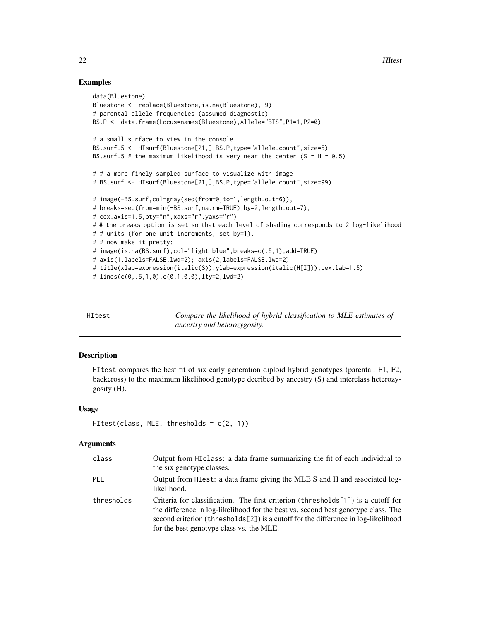## Examples

```
data(Bluestone)
Bluestone <- replace(Bluestone,is.na(Bluestone),-9)
# parental allele frequencies (assumed diagnostic)
BS.P <- data.frame(Locus=names(Bluestone),Allele="BTS",P1=1,P2=0)
# a small surface to view in the console
BS.surf.5 <- HIsurf(Bluestone[21,],BS.P,type="allele.count",size=5)
BS.surf.5 # the maximum likelihood is very near the center (S \sim H \sim 0.5)
# # a more finely sampled surface to visualize with image
# BS.surf <- HIsurf(Bluestone[21,],BS.P,type="allele.count",size=99)
# image(-BS.surf,col=gray(seq(from=0,to=1,length.out=6)),
# breaks=seq(from=min(-BS.surf,na.rm=TRUE),by=2,length.out=7),
# cex.axis=1.5,bty="n",xaxs="r",yaxs="r")
# # the breaks option is set so that each level of shading corresponds to 2 log-likelihood
# # units (for one unit increments, set by=1).
# # now make it pretty:
# image(is.na(BS.surf),col="light blue",breaks=c(.5,1),add=TRUE)
# axis(1,labels=FALSE,lwd=2); axis(2,labels=FALSE,lwd=2)
# title(xlab=expression(italic(S)),ylab=expression(italic(H[I])),cex.lab=1.5)
# lines(c(0,.5,1,0),c(0,1,0,0),lty=2,lwd=2)
```
<span id="page-21-1"></span>HItest *Compare the likelihood of hybrid classification to MLE estimates of ancestry and heterozygosity.*

#### **Description**

HItest compares the best fit of six early generation diploid hybrid genotypes (parental, F1, F2, backcross) to the maximum likelihood genotype decribed by ancestry (S) and interclass heterozygosity (H).

#### Usage

```
HItest (class, MLE, thresholds = c(2, 1))
```
#### Arguments

| class      | Output from HI class: a data frame summarizing the fit of each individual to<br>the six genotype classes.                                                                                                                                                                                                  |
|------------|------------------------------------------------------------------------------------------------------------------------------------------------------------------------------------------------------------------------------------------------------------------------------------------------------------|
| MLE        | Output from HI est: a data frame giving the MLE S and H and associated log-<br>likelihood.                                                                                                                                                                                                                 |
| thresholds | Criteria for classification. The first criterion (thresholds $[1]$ ) is a cutoff for<br>the difference in log-likelihood for the best vs. second best genotype class. The<br>second criterion (thresholds[2]) is a cutoff for the difference in log-likelihood<br>for the best genotype class vs. the MLE. |

<span id="page-21-0"></span>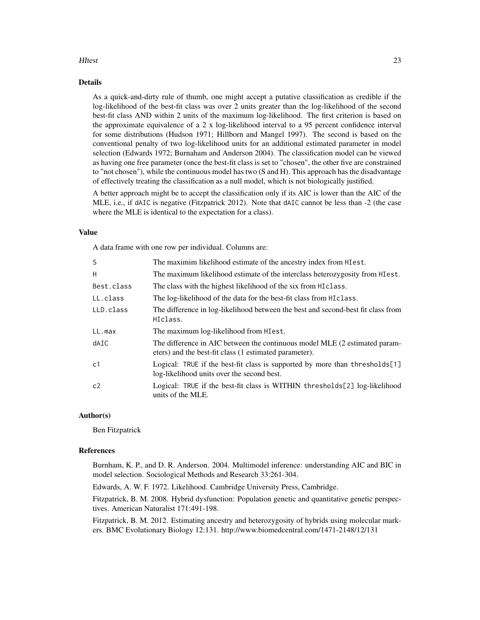#### HItest 23

# Details

As a quick-and-dirty rule of thumb, one might accept a putative classification as credible if the log-likelihood of the best-fit class was over 2 units greater than the log-likelihood of the second best-fit class AND within 2 units of the maximum log-likelihood. The first criterion is based on the approximate equivalence of a 2 x log-likelihood interval to a 95 percent confidence interval for some distributions (Hudson 1971; Hillborn and Mangel 1997). The second is based on the conventional penalty of two log-likelihood units for an additional estimated parameter in model selection (Edwards 1972; Burnaham and Anderson 2004). The classification model can be viewed as having one free parameter (once the best-fit class is set to "chosen", the other five are constrained to "not chosen"), while the continuous model has two (S and H). This approach has the disadvantage of effectively treating the classification as a null model, which is not biologically justified.

A better approach might be to accept the classification only if its AIC is lower than the AIC of the MLE, i.e., if dAIC is negative (Fitzpatrick 2012). Note that dAIC cannot be less than -2 (the case where the MLE is identical to the expectation for a class).

### Value

A data frame with one row per individual. Columns are:

| S              | The maximim likelihood estimate of the ancestry index from HI est.                                                                   |
|----------------|--------------------------------------------------------------------------------------------------------------------------------------|
| H              | The maximum likelihood estimate of the interclass heterozygosity from HI est.                                                        |
| Best.class     | The class with the highest likelihood of the six from HIClass.                                                                       |
| LL.class       | The log-likelihood of the data for the best-fit class from HI class.                                                                 |
| LLD.class      | The difference in log-likelihood between the best and second-best fit class from<br>HIclass.                                         |
| LL.max         | The maximum log-likelihood from HIest.                                                                                               |
| <b>dAIC</b>    | The difference in AIC between the continuous model MLE (2 estimated param-<br>eters) and the best-fit class (1 estimated parameter). |
| c <sub>1</sub> | Logical: TRUE if the best-fit class is supported by more than thresholds[1]<br>log-likelihood units over the second best.            |
| c2             | Logical: TRUE if the best-fit class is WITHIN thresholds[2] log-likelihood<br>units of the MLE.                                      |

#### Author(s)

Ben Fitzpatrick

#### References

Burnham, K. P., and D. R. Anderson. 2004. Multimodel inference: understanding AIC and BIC in model selection. Sociological Methods and Research 33:261-304.

Edwards, A. W. F. 1972. Likelihood. Cambridge University Press, Cambridge.

Fitzpatrick, B. M. 2008. Hybrid dysfunction: Population genetic and quantitative genetic perspectives. American Naturalist 171:491-198.

Fitzpatrick, B. M. 2012. Estimating ancestry and heterozygosity of hybrids using molecular markers. BMC Evolutionary Biology 12:131. http://www.biomedcentral.com/1471-2148/12/131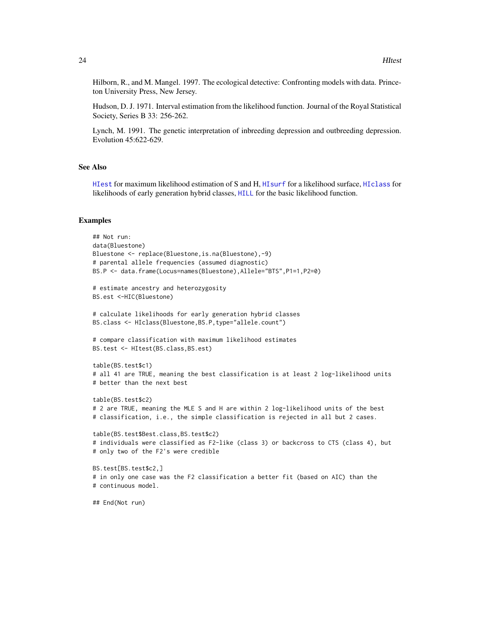<span id="page-23-0"></span>Hilborn, R., and M. Mangel. 1997. The ecological detective: Confronting models with data. Princeton University Press, New Jersey.

Hudson, D. J. 1971. Interval estimation from the likelihood function. Journal of the Royal Statistical Society, Series B 33: 256-262.

Lynch, M. 1991. The genetic interpretation of inbreeding depression and outbreeding depression. Evolution 45:622-629.

#### See Also

[HIest](#page-14-1) for maximum likelihood estimation of S and H, [HIsurf](#page-19-1) for a likelihood surface, [HIclass](#page-12-1) for likelihoods of early generation hybrid classes, [HILL](#page-17-1) for the basic likelihood function.

#### Examples

```
## Not run:
data(Bluestone)
Bluestone <- replace(Bluestone,is.na(Bluestone),-9)
# parental allele frequencies (assumed diagnostic)
BS.P <- data.frame(Locus=names(Bluestone),Allele="BTS",P1=1,P2=0)
# estimate ancestry and heterozygosity
BS.est <-HIC(Bluestone)
# calculate likelihoods for early generation hybrid classes
BS.class <- HIclass(Bluestone,BS.P,type="allele.count")
# compare classification with maximum likelihood estimates
BS.test <- HItest(BS.class,BS.est)
table(BS.test$c1)
# all 41 are TRUE, meaning the best classification is at least 2 log-likelihood units
# better than the next best
table(BS.test$c2)
# 2 are TRUE, meaning the MLE S and H are within 2 log-likelihood units of the best
# classification, i.e., the simple classification is rejected in all but 2 cases.
table(BS.test$Best.class,BS.test$c2)
# individuals were classified as F2-like (class 3) or backcross to CTS (class 4), but
# only two of the F2's were credible
BS.test[BS.test$c2,]
# in only one case was the F2 classification a better fit (based on AIC) than the
# continuous model.
## End(Not run)
```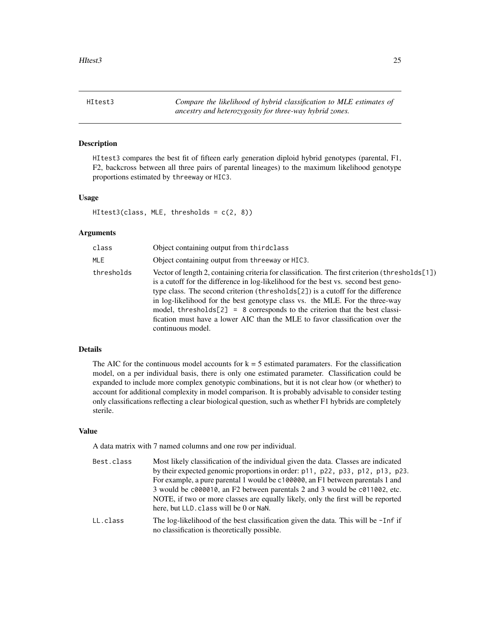<span id="page-24-1"></span><span id="page-24-0"></span>HItest3 *Compare the likelihood of hybrid classification to MLE estimates of ancestry and heterozygosity for three-way hybrid zones.*

### Description

HItest3 compares the best fit of fifteen early generation diploid hybrid genotypes (parental, F1, F2, backcross between all three pairs of parental lineages) to the maximum likelihood genotype proportions estimated by threeway or HIC3.

### Usage

 $HIt est3 (class, MLE, thresholds = c(2, 8))$ 

#### Arguments

| class      | Object containing output from thirdclass                                                                                                                                                                                                                                                                                                                                                                                                                                                                                                         |
|------------|--------------------------------------------------------------------------------------------------------------------------------------------------------------------------------------------------------------------------------------------------------------------------------------------------------------------------------------------------------------------------------------------------------------------------------------------------------------------------------------------------------------------------------------------------|
| MLE        | Object containing output from threeway or HIC3.                                                                                                                                                                                                                                                                                                                                                                                                                                                                                                  |
| thresholds | Vector of length 2, containing criteria for classification. The first criterion (thresholds[1])<br>is a cutoff for the difference in log-likelihood for the best vs. second best geno-<br>type class. The second criterion (thresholds[2]) is a cutoff for the difference<br>in log-likelihood for the best genotype class vs. the MLE. For the three-way<br>model, thresholds $[2] = 8$ corresponds to the criterion that the best classi-<br>fication must have a lower AIC than the MLE to favor classification over the<br>continuous model. |

# Details

The AIC for the continuous model accounts for  $k = 5$  estimated paramaters. For the classification model, on a per individual basis, there is only one estimated parameter. Classification could be expanded to include more complex genotypic combinations, but it is not clear how (or whether) to account for additional complexity in model comparison. It is probably advisable to consider testing only classifications reflecting a clear biological question, such as whether F1 hybrids are completely sterile.

#### Value

A data matrix with 7 named columns and one row per individual.

no classification is theoretically possible.

Best.class Most likely classification of the individual given the data. Classes are indicated by their expected genomic proportions in order: p11, p22, p33, p12, p13, p23. For example, a pure parental 1 would be c100000, an F1 between parentals 1 and 3 would be c000010, an F2 between parentals 2 and 3 would be c011002, etc. NOTE, if two or more classes are equally likely, only the first will be reported here, but LLD.class will be 0 or NaN. LL.class The log-likelihood of the best classification given the data. This will be -Inf if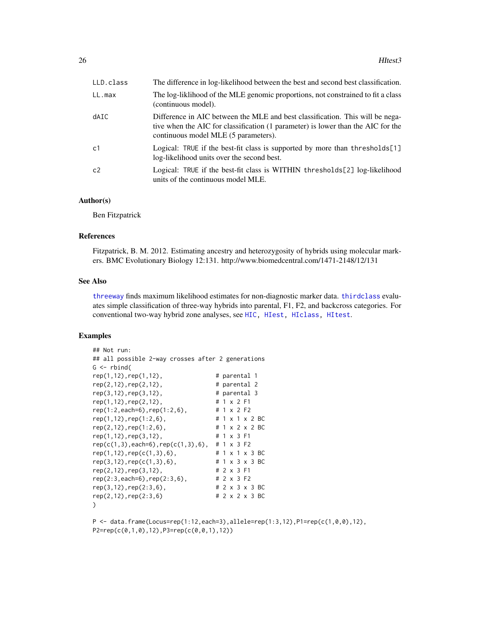<span id="page-25-0"></span>

| LLD.class      | The difference in log-likelihood between the best and second best classification.                                                                                                                         |
|----------------|-----------------------------------------------------------------------------------------------------------------------------------------------------------------------------------------------------------|
| LL.max         | The log-liklihood of the MLE genomic proportions, not constrained to fit a class<br>(continuous model).                                                                                                   |
| dAIC           | Difference in AIC between the MLE and best classification. This will be nega-<br>tive when the AIC for classification (1 parameter) is lower than the AIC for the<br>continuous model MLE (5 parameters). |
| c <sub>1</sub> | Logical: TRUE if the best-fit class is supported by more than thresholds[1]<br>log-likelihood units over the second best.                                                                                 |
| c <sub>2</sub> | Logical: TRUE if the best-fit class is WITHIN thresholds[2] log-likelihood<br>units of the continuous model MLE.                                                                                          |

#### Author(s)

Ben Fitzpatrick

# References

Fitzpatrick, B. M. 2012. Estimating ancestry and heterozygosity of hybrids using molecular markers. BMC Evolutionary Biology 12:131. http://www.biomedcentral.com/1471-2148/12/131

#### See Also

[threeway](#page-34-1) finds maximum likelihood estimates for non-diagnostic marker data. [thirdclass](#page-31-1) evaluates simple classification of three-way hybrids into parental, F1, F2, and backcross categories. For conventional two-way hybrid zone analyses, see [HIC,](#page-9-1) [HIest,](#page-14-1) [HIclass,](#page-12-1) [HItest](#page-21-1).

# Examples

```
## Not run:
## all possible 2-way crosses after 2 generations
G \leftarrow rbind(
rep(1,12),rep(1,12), # parental 1
rep(2,12), rep(2,12), # parental 2
rep(3,12), rep(3,12), \qquad # parental 3<br>rep(1,12), rep(2,12), \qquad # 1 x 2 F1
rep(1,12),rep(2,12), # 1 x 2 F1
rep(1:2,each=6),rep(1:2,6), # 1 x 2 F2
rep(1,12),rep(1:2,6), # 1 x 1 x 2 BC
rep(2,12),rep(1:2,6), # 1 \times 2 \times 2 BC<br>rep(1.12), # 2 \times 2 BC
rep(1,12),rep(3,12), # 1 x 3 F1
rep(c(1,3),each=6),rep(c(1,3),6), # 1 x 3 F2
rep(1,12),rep(c(1,3),6), # 1 x 1 x 3 BC<br>rep(3,12),rep(c(1,3),6), # 1 x 3 x 3 BC
rep(3,12), rep(c(1,3),6),rep(2,12),rep(3,12), # 2 x 3 F1
rep(2:3,each=6),rep(2:3,6), # 2 x 3 F2
rep(3,12),rep(2:3,6), # 2 x 3 x 3 BC
rep(2,12),rep(2:3,6) # 2 x 2 x 3 BC
\lambda
```
 $P \leq -$  data.frame(Locus=rep(1:12,each=3),allele=rep(1:3,12),P1=rep(c(1,0,0),12), P2=rep(c(0,1,0),12),P3=rep(c(0,0,1),12))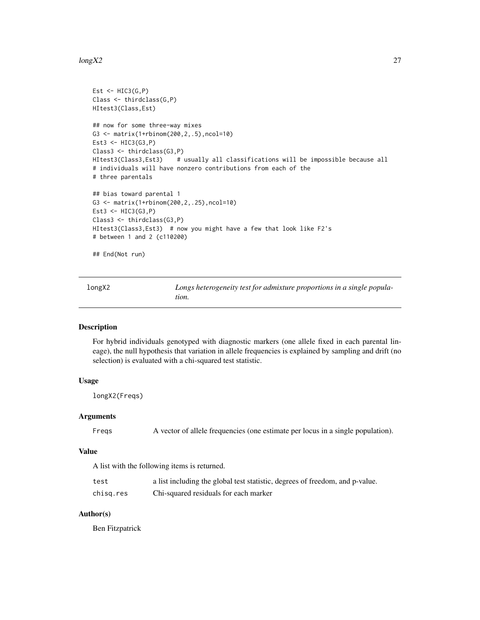#### <span id="page-26-0"></span> $\log X2$  27

```
Est \leftarrow HIC3(G,P)
Class <- thirdclass(G,P)
HItest3(Class,Est)
## now for some three-way mixes
G3 <- matrix(1+rbinom(200,2,.5),ncol=10)
Est3 \leftarrow HIC3(G3, P)
Class3 <- thirdclass(G3,P)
HItest3(Class3,Est3) # usually all classifications will be impossible because all
# individuals will have nonzero contributions from each of the
# three parentals
## bias toward parental 1
G3 <- matrix(1+rbinom(200,2,.25),ncol=10)
Est3 <- HIC3(G3,P)
Class3 <- thirdclass(G3,P)
HItest3(Class3,Est3) # now you might have a few that look like F2's
# between 1 and 2 (c110200)
## End(Not run)
```

| longX2 | Longs heterogeneity test for admixture proportions in a single popula- |
|--------|------------------------------------------------------------------------|
|        | tion.                                                                  |

# Description

For hybrid individuals genotyped with diagnostic markers (one allele fixed in each parental lineage), the null hypothesis that variation in allele frequencies is explained by sampling and drift (no selection) is evaluated with a chi-squared test statistic.

# Usage

longX2(Freqs)

## Arguments

Freqs A vector of allele frequencies (one estimate per locus in a single population).

#### Value

A list with the following items is returned.

| test      | a list including the global test statistic, degrees of freedom, and p-value. |
|-----------|------------------------------------------------------------------------------|
| chisg.res | Chi-squared residuals for each marker                                        |

# Author(s)

Ben Fitzpatrick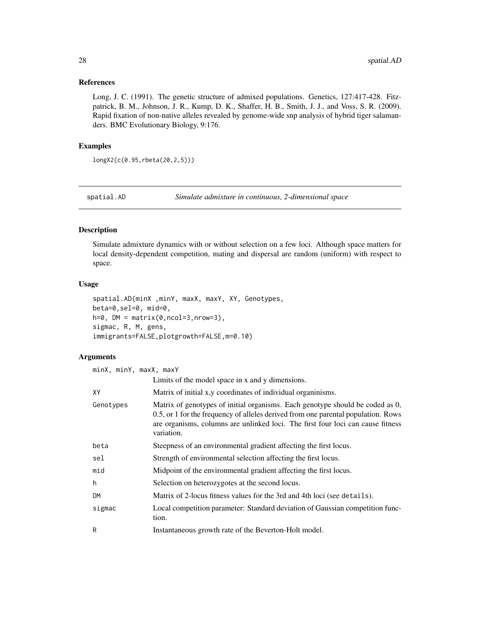#### <span id="page-27-0"></span>References

Long, J. C. (1991). The genetic structure of admixed populations. Genetics, 127:417-428. Fitzpatrick, B. M., Johnson, J. R., Kump, D. K., Shaffer, H. B., Smith, J. J., and Voss, S. R. (2009). Rapid fixation of non-native alleles revealed by genome-wide snp analysis of hybrid tiger salamanders. BMC Evolutionary Biology, 9:176.

# Examples

longX2(c(0.95,rbeta(20,2,5)))

<span id="page-27-1"></span>

spatial.AD *Simulate admixture in continuous, 2-dimensional space*

#### Description

Simulate admixture dynamics with or without selection on a few loci. Although space matters for local density-dependent competition, mating and dispersal are random (uniform) with respect to space.

# Usage

```
spatial.AD(minX ,minY, maxX, maxY, XY, Genotypes,
beta=0,sel=0, mid=0,
h=0, DM = matrix(0, ncol=3, nrow=3),
sigmac, R, M, gens,
immigrants=FALSE,plotgrowth=FALSE,m=0.10)
```
# Arguments

| minX, minY, maxX, maxY |                                                                                                                                                                                                                                                                     |  |
|------------------------|---------------------------------------------------------------------------------------------------------------------------------------------------------------------------------------------------------------------------------------------------------------------|--|
|                        | Limits of the model space in x and y dimensions.                                                                                                                                                                                                                    |  |
| XY                     | Matrix of initial x, y coordinates of individual organinisms.                                                                                                                                                                                                       |  |
| Genotypes              | Matrix of genotypes of initial organisms. Each genotype should be coded as 0,<br>0.5, or 1 for the frequency of alleles derived from one parental population. Rows<br>are organisms, columns are unlinked loci. The first four loci can cause fitness<br>variation. |  |
| beta                   | Steepness of an environmental gradient affecting the first locus.                                                                                                                                                                                                   |  |
| sel                    | Strength of environmental selection affecting the first locus.                                                                                                                                                                                                      |  |
| mid                    | Midpoint of the environmental gradient affecting the first locus.                                                                                                                                                                                                   |  |
| h                      | Selection on heterozygotes at the second locus.                                                                                                                                                                                                                     |  |
| <b>DM</b>              | Matrix of 2-locus fitness values for the 3rd and 4th loci (see details).                                                                                                                                                                                            |  |
| sigmac                 | Local competition parameter: Standard deviation of Gaussian competition func-<br>tion.                                                                                                                                                                              |  |
| R                      | Instantaneous growth rate of the Beverton-Holt model.                                                                                                                                                                                                               |  |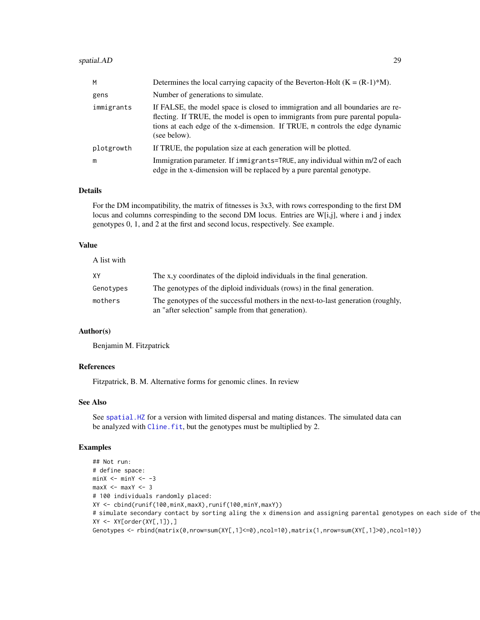#### <span id="page-28-0"></span>spatial.AD 29

| M          | Determines the local carrying capacity of the Beverton-Holt $(K = (R-1)*M)$ .                                                                                                                                                                                 |
|------------|---------------------------------------------------------------------------------------------------------------------------------------------------------------------------------------------------------------------------------------------------------------|
| gens       | Number of generations to simulate.                                                                                                                                                                                                                            |
| immigrants | If FALSE, the model space is closed to immigration and all boundaries are re-<br>flecting. If TRUE, the model is open to immigrants from pure parental popula-<br>tions at each edge of the x-dimension. If TRUE, m controls the edge dynamic<br>(see below). |
| plotgrowth | If TRUE, the population size at each generation will be plotted.                                                                                                                                                                                              |
| m          | Immigration parameter. If immigrants=TRUE, any individual within m/2 of each<br>edge in the x-dimension will be replaced by a pure parental genotype.                                                                                                         |

# Details

For the DM incompatibility, the matrix of fitnesses is 3x3, with rows corresponding to the first DM locus and columns correspinding to the second DM locus. Entries are W[i,j], where i and j index genotypes 0, 1, and 2 at the first and second locus, respectively. See example.

# Value

A list with

| XY        | The x,y coordinates of the diploid individuals in the final generation.                                                                |
|-----------|----------------------------------------------------------------------------------------------------------------------------------------|
| Genotypes | The genotypes of the diploid individuals (rows) in the final generation.                                                               |
| mothers   | The genotypes of the successful mothers in the next-to-last generation (roughly,<br>an "after selection" sample from that generation). |

# Author(s)

Benjamin M. Fitzpatrick

# References

Fitzpatrick, B. M. Alternative forms for genomic clines. In review

# See Also

See [spatial.HZ](#page-29-1) for a version with limited dispersal and mating distances. The simulated data can be analyzed with Cline. fit, but the genotypes must be multiplied by 2.

# Examples

```
## Not run:
# define space:
minX <- minY <- -3maxX <- maxY <- 3
# 100 individuals randomly placed:
XY <- cbind(runif(100,minX,maxX),runif(100,minY,maxY))
# simulate secondary contact by sorting aling the x dimension and assigning parental genotypes on each side of the
XY \leftarrow XY[order(XY[, 1]),Genotypes <- rbind(matrix(0,nrow=sum(XY[,1]<=0),ncol=10),matrix(1,nrow=sum(XY[,1]>0),ncol=10))
```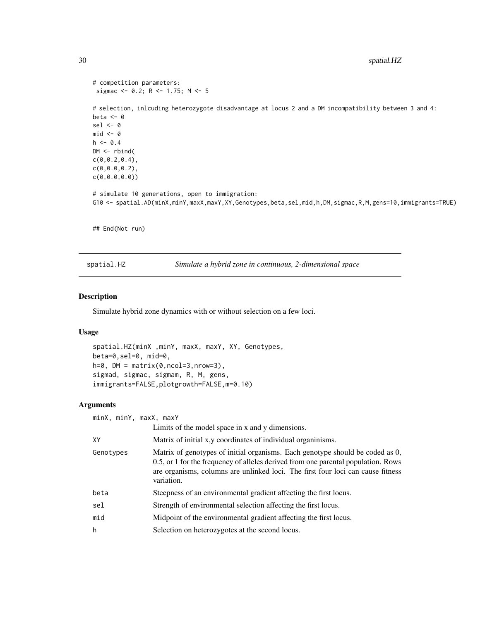```
# competition parameters:
sigmac <- 0.2; R <- 1.75; M <- 5
# selection, inlcuding heterozygote disadvantage at locus 2 and a DM incompatibility between 3 and 4:
beta <- 0
sel \leftarrow 0
mid < - 0
h <- 0.4
DM <- rbind(
c(\emptyset, \emptyset.2, \emptyset.4),
c(0,0.0,0.2),
c(0,0.0,0.0))
# simulate 10 generations, open to immigration:
G10 <- spatial.AD(minX,minY,maxX,maxY,XY,Genotypes,beta,sel,mid,h,DM,sigmac,R,M,gens=10,immigrants=TRUE)
## End(Not run)
```
<span id="page-29-1"></span>spatial.HZ *Simulate a hybrid zone in continuous, 2-dimensional space*

# Description

Simulate hybrid zone dynamics with or without selection on a few loci.

#### Usage

```
spatial.HZ(minX ,minY, maxX, maxY, XY, Genotypes,
beta=0,sel=0, mid=0,
h=0, DM = matrix(0,ncol=3,nrow=3),
sigmad, sigmac, sigmam, R, M, gens,
immigrants=FALSE,plotgrowth=FALSE,m=0.10)
```
# Arguments

| minX, minY, maxX, maxY |                                                                                                                                                                                                                                                                     |
|------------------------|---------------------------------------------------------------------------------------------------------------------------------------------------------------------------------------------------------------------------------------------------------------------|
|                        | Limits of the model space in x and y dimensions.                                                                                                                                                                                                                    |
| XY                     | Matrix of initial x, y coordinates of individual organinisms.                                                                                                                                                                                                       |
| Genotypes              | Matrix of genotypes of initial organisms. Each genotype should be coded as 0,<br>0.5, or 1 for the frequency of alleles derived from one parental population. Rows<br>are organisms, columns are unlinked loci. The first four loci can cause fitness<br>variation. |
| beta                   | Steepness of an environmental gradient affecting the first locus.                                                                                                                                                                                                   |
| sel                    | Strength of environmental selection affecting the first locus.                                                                                                                                                                                                      |
| mid                    | Midpoint of the environmental gradient affecting the first locus.                                                                                                                                                                                                   |
| h                      | Selection on heterozygotes at the second locus.                                                                                                                                                                                                                     |

<span id="page-29-0"></span>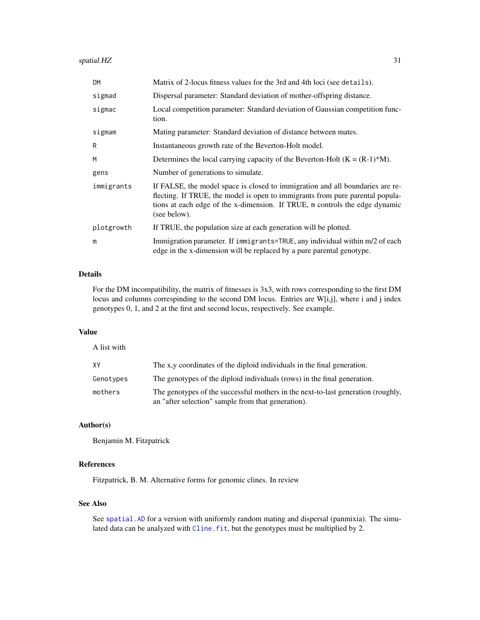# <span id="page-30-0"></span>spatial.HZ 31

| DM.        | Matrix of 2-locus fitness values for the 3rd and 4th loci (see details).                                                                                                                                                                                      |
|------------|---------------------------------------------------------------------------------------------------------------------------------------------------------------------------------------------------------------------------------------------------------------|
| sigmad     | Dispersal parameter: Standard deviation of mother-offspring distance.                                                                                                                                                                                         |
| sigmac     | Local competition parameter: Standard deviation of Gaussian competition func-<br>tion.                                                                                                                                                                        |
| sigmam     | Mating parameter: Standard deviation of distance between mates.                                                                                                                                                                                               |
| R          | Instantaneous growth rate of the Beverton-Holt model.                                                                                                                                                                                                         |
| M          | Determines the local carrying capacity of the Beverton-Holt $(K = (R-1)*M)$ .                                                                                                                                                                                 |
| gens       | Number of generations to simulate.                                                                                                                                                                                                                            |
| immigrants | If FALSE, the model space is closed to immigration and all boundaries are re-<br>flecting. If TRUE, the model is open to immigrants from pure parental popula-<br>tions at each edge of the x-dimension. If TRUE, m controls the edge dynamic<br>(see below). |
| plotgrowth | If TRUE, the population size at each generation will be plotted.                                                                                                                                                                                              |
| m          | Immigration parameter. If immigrants=TRUE, any individual within m/2 of each<br>edge in the x-dimension will be replaced by a pure parental genotype.                                                                                                         |

# Details

For the DM incompatibility, the matrix of fitnesses is 3x3, with rows corresponding to the first DM locus and columns correspinding to the second DM locus. Entries are W[i,j], where i and j index genotypes 0, 1, and 2 at the first and second locus, respectively. See example.

# Value

| A list with |                                                                                                                                        |
|-------------|----------------------------------------------------------------------------------------------------------------------------------------|
| XY          | The x,y coordinates of the diploid individuals in the final generation.                                                                |
| Genotypes   | The genotypes of the diploid individuals (rows) in the final generation.                                                               |
| mothers     | The genotypes of the successful mothers in the next-to-last generation (roughly,<br>an "after selection" sample from that generation). |

# Author(s)

Benjamin M. Fitzpatrick

# References

Fitzpatrick, B. M. Alternative forms for genomic clines. In review

# See Also

See [spatial.AD](#page-27-1) for a version with uniformly random mating and dispersal (panmixia). The simu-lated data can be analyzed with [Cline.fit](#page-4-1), but the genotypes must be multiplied by 2.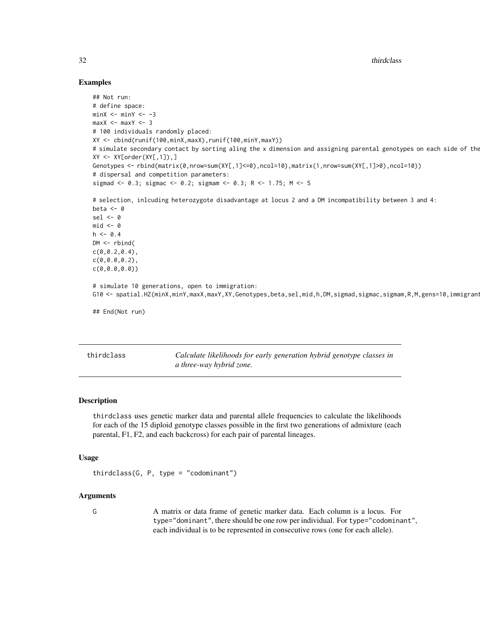32 thirdclass the contract of the contract of the contract of the contract of the contract of the contract of the contract of the contract of the contract of the contract of the contract of the contract of the contract of

# Examples

```
## Not run:
# define space:
minX <- minY <- -3
maxX <- maxY <- 3
# 100 individuals randomly placed:
XY <- cbind(runif(100,minX,maxX),runif(100,minY,maxY))
# simulate secondary contact by sorting aling the x dimension and assigning parental genotypes on each side of the
XY \leftarrow XY[order(XY[, 1]),Genotypes <- rbind(matrix(0,nrow=sum(XY[,1]<=0),ncol=10),matrix(1,nrow=sum(XY[,1]>0),ncol=10))
# dispersal and competition parameters:
sigmad <- 0.3; sigmac <- 0.2; sigmam <- 0.3; R <- 1.75; M <- 5
# selection, inlcuding heterozygote disadvantage at locus 2 and a DM incompatibility between 3 and 4:
beta <-0sel \leftarrow 0mid < -0h \leq -0.4DM <- rbind(
c(0, 0.2, 0.4),
c(0,0.0,0.2),
c(0,0.0,0.0))
# simulate 10 generations, open to immigration:
G10 <- spatial.HZ(minX,minY,maxX,maxY,XY,Genotypes,beta,sel,mid,h,DM,sigmad,sigmac,sigmam,R,M,gens=10,immigrant
## End(Not run)
```
<span id="page-31-1"></span>

| thirdclass | Calculate likelihoods for early generation hybrid genotype classes in |
|------------|-----------------------------------------------------------------------|
|            | a three-way hybrid zone.                                              |

# **Description**

thirdclass uses genetic marker data and parental allele frequencies to calculate the likelihoods for each of the 15 diploid genotype classes possible in the first two generations of admixture (each parental, F1, F2, and each backcross) for each pair of parental lineages.

#### Usage

```
thirdclass(G, P, type = "codominant")
```
#### Arguments

G A matrix or data frame of genetic marker data. Each column is a locus. For type="dominant", there should be one row per individual. For type="codominant", each individual is to be represented in consecutive rows (one for each allele).

<span id="page-31-0"></span>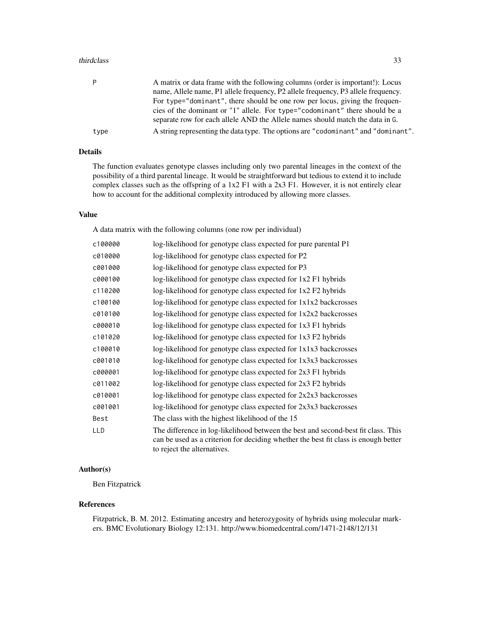#### thirdclass 33

| P    | A matrix or data frame with the following columns (order is important!): Locus<br>name, Allele name, P1 allele frequency, P2 allele frequency, P3 allele frequency.<br>For type="dominant", there should be one row per locus, giving the frequen-<br>cies of the dominant or "1" allele. For type="codominant" there should be a<br>separate row for each allele AND the Allele names should match the data in G. |
|------|--------------------------------------------------------------------------------------------------------------------------------------------------------------------------------------------------------------------------------------------------------------------------------------------------------------------------------------------------------------------------------------------------------------------|
| type | A string representing the data type. The options are "codominant" and "dominant".                                                                                                                                                                                                                                                                                                                                  |
|      |                                                                                                                                                                                                                                                                                                                                                                                                                    |

# Details

The function evaluates genotype classes including only two parental lineages in the context of the possibility of a third parental lineage. It would be straightforward but tedious to extend it to include complex classes such as the offspring of a 1x2 F1 with a 2x3 F1. However, it is not entirely clear how to account for the additional complexity introduced by allowing more classes.

#### Value

A data matrix with the following columns (one row per individual)

| c100000    | log-likelihood for genotype class expected for pure parental P1                                                                                                                                         |
|------------|---------------------------------------------------------------------------------------------------------------------------------------------------------------------------------------------------------|
| c010000    | log-likelihood for genotype class expected for P2                                                                                                                                                       |
| c001000    | log-likelihood for genotype class expected for P3                                                                                                                                                       |
| c000100    | log-likelihood for genotype class expected for 1x2 F1 hybrids                                                                                                                                           |
| c110200    | log-likelihood for genotype class expected for 1x2 F2 hybrids                                                                                                                                           |
| c100100    | log-likelihood for genotype class expected for 1x1x2 backcrosses                                                                                                                                        |
| c010100    | $log$ -likelihood for genotype class expected for $1x2x2$ backcrosses                                                                                                                                   |
| c000010    | log-likelihood for genotype class expected for 1x3 F1 hybrids                                                                                                                                           |
| c101020    | log-likelihood for genotype class expected for 1x3 F2 hybrids                                                                                                                                           |
| c100010    | log-likelihood for genotype class expected for 1x1x3 backcrosses                                                                                                                                        |
| c001010    | log-likelihood for genotype class expected for 1x3x3 backcrosses                                                                                                                                        |
| c000001    | log-likelihood for genotype class expected for 2x3 F1 hybrids                                                                                                                                           |
| c011002    | log-likelihood for genotype class expected for 2x3 F2 hybrids                                                                                                                                           |
| c010001    | $log$ -likelihood for genotype class expected for $2x2x3$ backcrosses                                                                                                                                   |
| c001001    | log-likelihood for genotype class expected for 2x3x3 backcrosses                                                                                                                                        |
| Best       | The class with the highest likelihood of the 15                                                                                                                                                         |
| <b>LLD</b> | The difference in log-likelihood between the best and second-best fit class. This<br>can be used as a criterion for deciding whether the best fit class is enough better<br>to reject the alternatives. |

# Author(s)

Ben Fitzpatrick

# References

Fitzpatrick, B. M. 2012. Estimating ancestry and heterozygosity of hybrids using molecular markers. BMC Evolutionary Biology 12:131. http://www.biomedcentral.com/1471-2148/12/131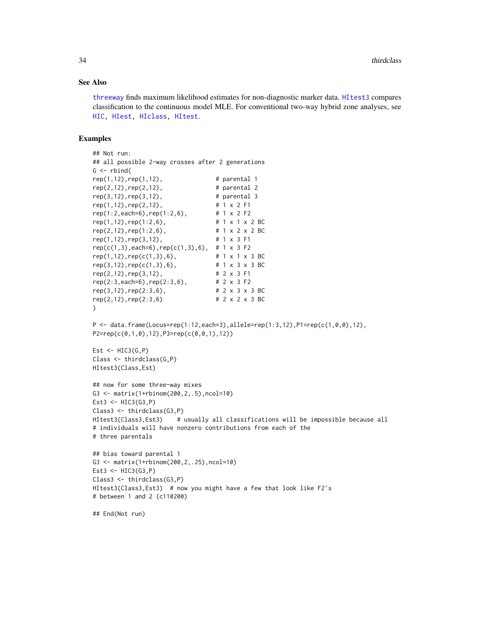#### <span id="page-33-0"></span>See Also

[threeway](#page-34-1) finds maximum likelihood estimates for non-diagnostic marker data. [HItest3](#page-24-1) compares classification to the continuous model MLE. For conventional two-way hybrid zone analyses, see [HIC,](#page-9-1) [HIest,](#page-14-1) [HIclass,](#page-12-1) [HItest](#page-21-1).

#### Examples

```
## Not run:
## all possible 2-way crosses after 2 generations
G \leftarrow \text{rbind}(rep(1,12), rep(1,12), # parental 1
rep(2,12), rep(2,12), # parental 2
rep(3,12),rep(3,12), # parental 3
rep(1,12),rep(2,12), # 1 x 2 F1
rep(1:2,each=6),rep(1:2,6), # 1 x 2 F2
rep(1,12), rep(1:2,6), \qquad \qquad # 1 \times 1 \times 2 BC
rep(2,12),rep(1:2,6), # 1 x 2 x 2 BC
rep(1,12), rep(3,12), # 1 x 3 F1
rep(c(1,3),each=6),rep(c(1,3),6), # 1 x 3 F2
rep(1,12),rep(c(1,3),6), # 1 x 1 x 3 BC
rep(3,12), rep(c(1,3),6), # 1 x 3 x 3 BC
rep(2,12),rep(3,12), # 2 x 3 F1<br>rep(2:3,each=6),rep(2:3,6), # 2 x 3 F2
rep(2:3, each=6), rep(2:3, 6),
rep(3, 12), rep(2:3, 6), # 2 x 3 x 3 BC
rep(2,12),rep(2:3,6) # 2 x 2 x 3 BC
\lambdaP \leq - data.frame(Locus=rep(1:12,each=3),allele=rep(1:3,12),P1=rep(c(1,0,0),12),
P2=rep(c(0,1,0),12),P3=rep(c(0,0,1),12))
Est \le HIC3(G,P)
Class <- thirdclass(G,P)
HItest3(Class,Est)
## now for some three-way mixes
G3 <- matrix(1+rbinom(200,2,.5),ncol=10)
Est3 \leftarrow HIC3(G3, P)
Class3 <- thirdclass(G3,P)
HItest3(Class3,Est3) # usually all classifications will be impossible because all
# individuals will have nonzero contributions from each of the
# three parentals
## bias toward parental 1
G3 <- matrix(1+rbinom(200,2,.25),ncol=10)
Est3 \leftarrow HIC3(G3, P)
Class3 <- thirdclass(G3,P)
HItest3(Class3,Est3) # now you might have a few that look like F2's
# between 1 and 2 (c110200)
```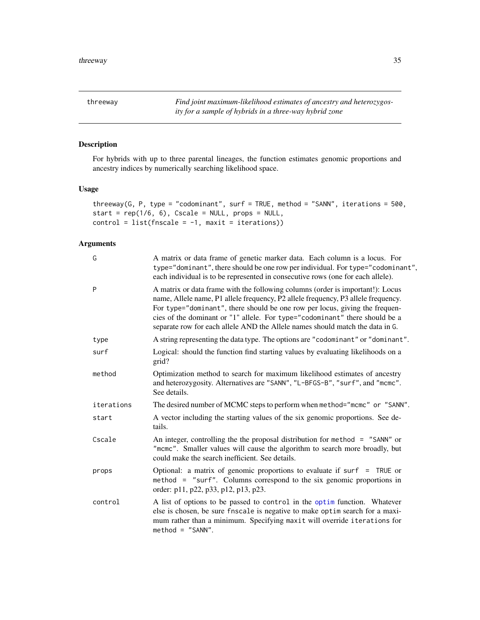<span id="page-34-1"></span><span id="page-34-0"></span>threeway *Find joint maximum-likelihood estimates of ancestry and heterozygosity for a sample of hybrids in a three-way hybrid zone*

# Description

For hybrids with up to three parental lineages, the function estimates genomic proportions and ancestry indices by numerically searching likelihood space.

# Usage

```
threeway(G, P, type = "codominant", surf = TRUE, method = "SANN", iterations = 500,
start = rep(1/6, 6), Cscale = NULL, props = NULL,
control = list(fnscale = -1, maxit = iterations))
```
# Arguments

| G          | A matrix or data frame of genetic marker data. Each column is a locus. For<br>type="dominant", there should be one row per individual. For type="codominant",<br>each individual is to be represented in consecutive rows (one for each allele).                                                                                                                                                                   |
|------------|--------------------------------------------------------------------------------------------------------------------------------------------------------------------------------------------------------------------------------------------------------------------------------------------------------------------------------------------------------------------------------------------------------------------|
| P          | A matrix or data frame with the following columns (order is important!): Locus<br>name, Allele name, P1 allele frequency, P2 allele frequency, P3 allele frequency.<br>For type="dominant", there should be one row per locus, giving the frequen-<br>cies of the dominant or "1" allele. For type="codominant" there should be a<br>separate row for each allele AND the Allele names should match the data in G. |
| type       | A string representing the data type. The options are "codominant" or "dominant".                                                                                                                                                                                                                                                                                                                                   |
| surf       | Logical: should the function find starting values by evaluating likelihoods on a<br>grid?                                                                                                                                                                                                                                                                                                                          |
| method     | Optimization method to search for maximum likelihood estimates of ancestry<br>and heterozygosity. Alternatives are "SANN", "L-BFGS-B", "surf", and "mcmc".<br>See details.                                                                                                                                                                                                                                         |
| iterations | The desired number of MCMC steps to perform when method="mcmc" or "SANN".                                                                                                                                                                                                                                                                                                                                          |
| start      | A vector including the starting values of the six genomic proportions. See de-<br>tails.                                                                                                                                                                                                                                                                                                                           |
| Cscale     | An integer, controlling the the proposal distribution for method $=$ "SANN" or<br>"mcmc". Smaller values will cause the algorithm to search more broadly, but<br>could make the search inefficient. See details.                                                                                                                                                                                                   |
| props      | Optional: a matrix of genomic proportions to evaluate if surf = TRUE or<br>method = "surf". Columns correspond to the six genomic proportions in<br>order: p11, p22, p33, p12, p13, p23.                                                                                                                                                                                                                           |
| control    | A list of options to be passed to control in the optim function. Whatever<br>else is chosen, be sure fnscale is negative to make optim search for a maxi-<br>mum rather than a minimum. Specifying maxit will override iterations for<br>$method = "SANN".$                                                                                                                                                        |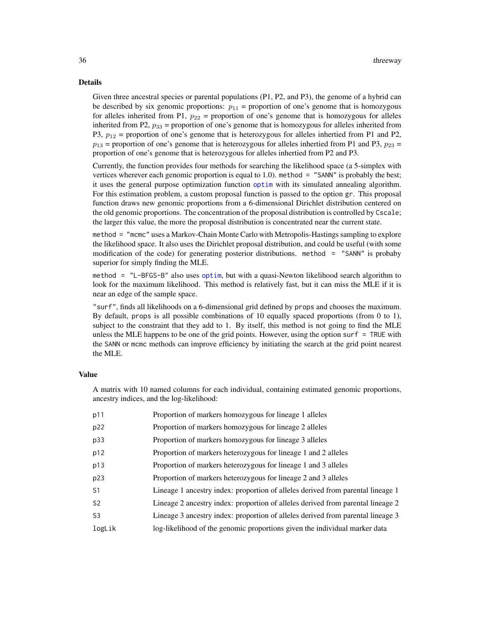#### <span id="page-35-0"></span>Details

Given three ancestral species or parental populations (P1, P2, and P3), the genome of a hybrid can be described by six genomic proportions:  $p_{11}$  = proportion of one's genome that is homozygous for alleles inherited from P1,  $p_{22}$  = proportion of one's genome that is homozygous for alleles inherited from P2,  $p_{33}$  = proportion of one's genome that is homozygous for alleles inherited from P3,  $p_{12}$  = proportion of one's genome that is heterozygous for alleles inhertied from P1 and P2,  $p_{13}$  = proportion of one's genome that is heterozygous for alleles inhertied from P1 and P3,  $p_{23}$  = proportion of one's genome that is heterozygous for alleles inhertied from P2 and P3.

Currently, the function provides four methods for searching the likelihood space (a 5-simplex with vertices wherever each genomic proportion is equal to 1.0). method = "SANN" is probably the best; it uses the general purpose optimization function [optim](#page-0-0) with its simulated annealing algorithm. For this estimation problem, a custom proposal function is passed to the option gr. This proposal function draws new genomic proportions from a 6-dimensional Dirichlet distribution centered on the old genomic proportions. The concentration of the proposal distribution is controlled by Cscale; the larger this value, the more the proposal distribution is concentrated near the current state.

method = "mcmc" uses a Markov-Chain Monte Carlo with Metropolis-Hastings sampling to explore the likelihood space. It also uses the Dirichlet proposal distribution, and could be useful (with some modification of the code) for generating posterior distributions. method = "SANN" is probaby superior for simply finding the MLE.

method = "L-BFGS-B" also uses [optim](#page-0-0), but with a quasi-Newton likelihood search algorithm to look for the maximum likelihood. This method is relatively fast, but it can miss the MLE if it is near an edge of the sample space.

"surf", finds all likelihoods on a 6-dimensional grid defined by props and chooses the maximum. By default, props is all possible combinations of 10 equally spaced proportions (from 0 to 1), subject to the constraint that they add to 1. By itself, this method is not going to find the MLE unless the MLE happens to be one of the grid points. However, using the option surf = TRUE with the SANN or mcmc methods can improve efficiency by initiating the search at the grid point nearest the MLE.

#### Value

A matrix with 10 named columns for each individual, containing estimated genomic proportions, ancestry indices, and the log-likelihood:

| p11            | Proportion of markers homozygous for lineage 1 alleles                          |
|----------------|---------------------------------------------------------------------------------|
| p22            | Proportion of markers homozygous for lineage 2 alleles                          |
| p33            | Proportion of markers homozygous for lineage 3 alleles                          |
| p12            | Proportion of markers heterozygous for lineage 1 and 2 alleles                  |
| p13            | Proportion of markers heterozygous for lineage 1 and 3 alleles                  |
| p23            | Proportion of markers heterozygous for lineage 2 and 3 alleles                  |
| S <sub>1</sub> | Lineage 1 ancestry index: proportion of alleles derived from parental lineage 1 |
| S2             | Lineage 2 ancestry index: proportion of alleles derived from parental lineage 2 |
| S3             | Lineage 3 ancestry index: proportion of alleles derived from parental lineage 3 |
| logLik         | log-likelihood of the genomic proportions given the individual marker data      |
|                |                                                                                 |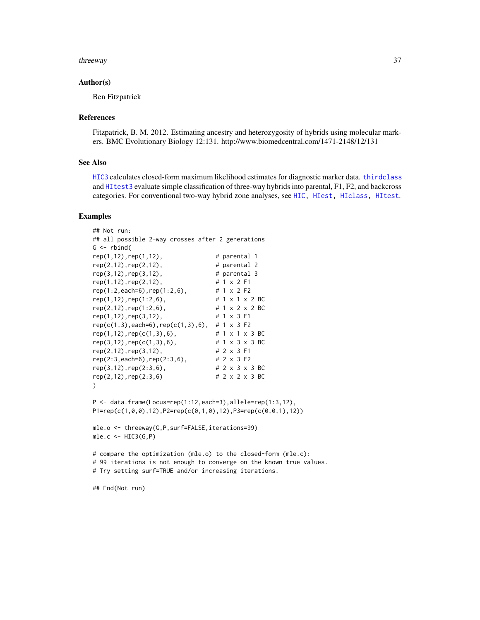#### <span id="page-36-0"></span>threeway 37

#### Author(s)

Ben Fitzpatrick

#### References

Fitzpatrick, B. M. 2012. Estimating ancestry and heterozygosity of hybrids using molecular markers. BMC Evolutionary Biology 12:131. http://www.biomedcentral.com/1471-2148/12/131

#### See Also

[HIC3](#page-10-1) calculates closed-form maximum likelihood estimates for diagnostic marker data. [thirdclass](#page-31-1) and [HItest3](#page-24-1) evaluate simple classification of three-way hybrids into parental, F1, F2, and backcross categories. For conventional two-way hybrid zone analyses, see [HIC,](#page-9-1) [HIest,](#page-14-1) [HIclass,](#page-12-1) [HItest](#page-21-1).

#### Examples

```
## Not run:
## all possible 2-way crosses after 2 generations
G \leftarrow \text{rbind}(rep(1,12), rep(1,12),<br>rep(2,12), rep(2,12), # parental 2
rep(2,12), rep(2,12),
rep(3,12), rep(3,12), # parental 3
rep(1,12),rep(2,12), # 1 x 2 F1
rep(1:2,each=6),rep(1:2,6), # 1 x 2 F2
rep(1,12),rep(1:2,6), \qquad \qquad # 1 \times 1 \times 2 BC
rep(2, 12), rep(1:2, 6), # 1 x 2 x 2 BC
rep(1,12),rep(3,12), # 1 x 3 F1
rep(c(1,3),each=6),rep(c(1,3),6), # 1 x 3 F2
rep(1,12),rep(c(1,3),6), # 1 x 1 x 3 BC
rep(3,12), rep(c(1,3),6), # 1 x 3 x 3 BC
rep(2,12),rep(3,12), # 2 x 3 F1
rep(2:3,each=6),rep(2:3,6), \qquad # 2 x 3 F2<br>rep(3,12),rep(2:3,6), \qquad # 2 x 3 x 3 BC
rep(3,12), rep(2:3,6),
rep(2,12),rep(2:3,6) # 2 x 2 x 3 BC
)
P <- data.frame(Locus=rep(1:12,each=3),allele=rep(1:3,12),
P1=rep(c(1,0,0),12),P2=rep(c(0,1,0),12),P3=rep(c(0,0,1),12))
mle.o <- threeway(G,P,surf=FALSE,iterations=99)
mle.c < - HIC3(G, P)# compare the optimization (mle.o) to the closed-form (mle.c):
# 99 iterations is not enough to converge on the known true values.
# Try setting surf=TRUE and/or increasing iterations.
```
## End(Not run)